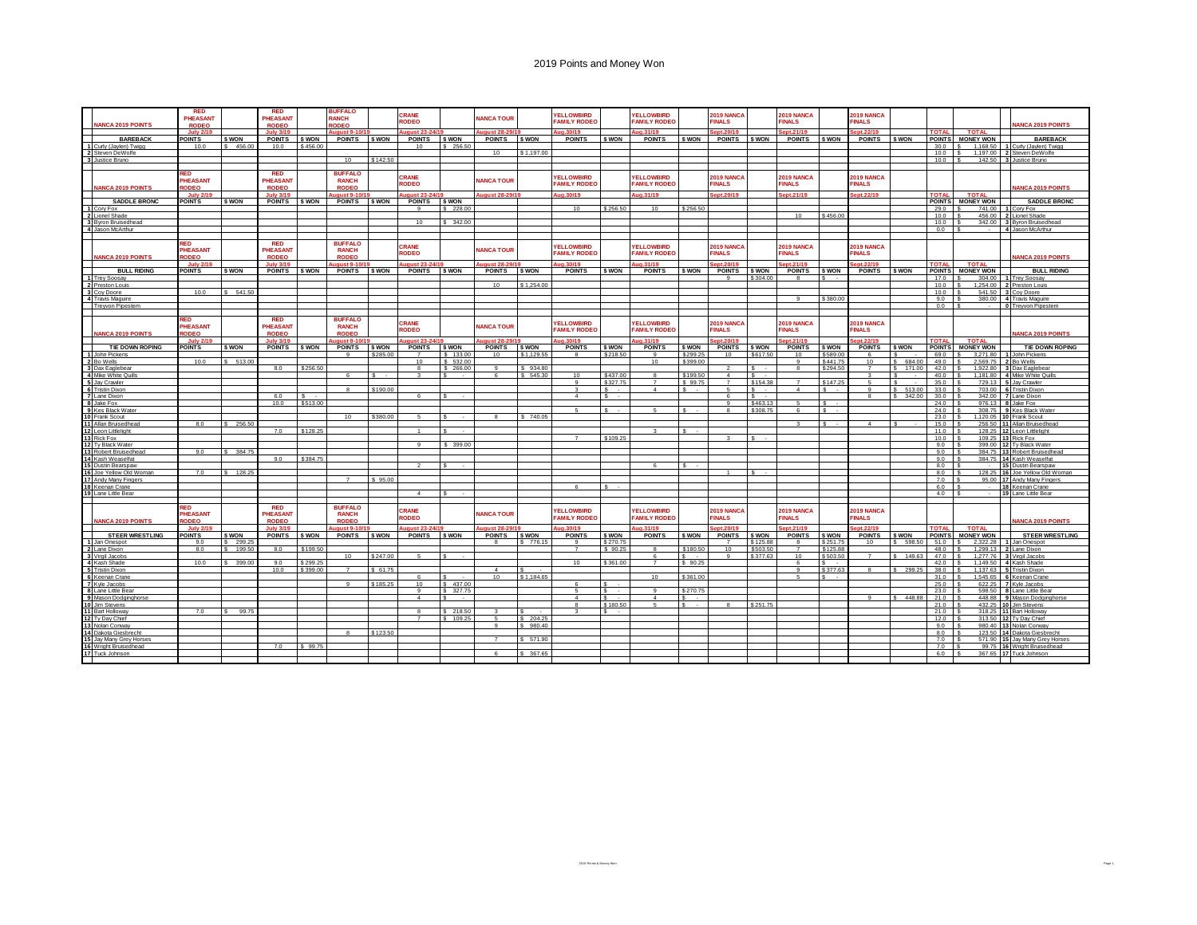|                                           | <b>RED</b><br>PHEASANT          |                     | <b>RED</b><br>PHEASANT                        |                    | <b>BUFFALO</b><br><b>RANCH</b>                 |          | CRANE                  |                    | <b>IANCA TOUR</b> |                      | <b>FLLOWBIRD</b>                        |                      | <b>YELLOWBIRD</b>                        |                          | 2019 NANCA                         |                    | 2019 NANCA                    |                           | 2019 NANCA                        |                     |                       |                              |                                         |
|-------------------------------------------|---------------------------------|---------------------|-----------------------------------------------|--------------------|------------------------------------------------|----------|------------------------|--------------------|-------------------|----------------------|-----------------------------------------|----------------------|------------------------------------------|--------------------------|------------------------------------|--------------------|-------------------------------|---------------------------|-----------------------------------|---------------------|-----------------------|------------------------------|-----------------------------------------|
| <b>VANCA 2019 POINTS</b>                  | <b>RODEO</b>                    |                     | <b>RODEO</b>                                  |                    | <b>OBEO</b>                                    |          | <b>RODEO</b>           |                    |                   |                      | <b>AMILY RODEC</b>                      |                      | <b>FAMILY RODEC</b>                      |                          | <b>FINALS</b>                      |                    | <b>INALS</b>                  |                           | <b>INALS</b>                      |                     |                       |                              | <b>ANCA 2019 POINTS</b>                 |
|                                           | <b>July 2/19</b>                |                     | <b>July 3/19</b>                              |                    | iaust 9-                                       |          | ugust 23-2             |                    | ugust 28-29       |                      | <b>n</b> 30/19                          |                      | ua.31/19                                 |                          | ept.20/19                          |                    | nt.21/19                      |                           | pt.22/19                          |                     | <b>TOTAL</b>          | <b>TOTAL</b>                 |                                         |
| <b>BAREBACK</b><br>1 Curly (Jaylen) Twigg | <b>POINTS</b><br>10.0           | \$ WON<br>\$ 456.00 | <b>POINTS</b><br>10.0                         | \$ WON<br>\$456.00 | POINTS SWON                                    |          | <b>POINTS</b><br>10    | \$ WON<br>\$256.50 | <b>POINTS</b>     | <b>SWON</b>          | <b>POINTS</b>                           | <b>S WON</b>         | <b>POINTS</b>                            | <b>S WON</b>             | <b>POINTS</b>                      | <b>S WON</b>       | <b>POINTS</b>                 | <b>S WON</b>              | <b>POINTS</b>                     | S WON               | <b>POINTS</b><br>30.0 | <b>MONEY WON</b><br>1.168.50 | <b>BAREBACK</b><br>Curly (Jaylen) Twigg |
|                                           |                                 |                     |                                               |                    |                                                |          |                        |                    | 10                | \$1,197.00           |                                         |                      |                                          |                          |                                    |                    |                               |                           |                                   |                     | 10.0                  | 1,197.00                     | 2 Steven DeWolfe                        |
| 2 Steven DeWolfe                          |                                 |                     |                                               |                    | 10                                             | \$142.50 |                        |                    |                   |                      |                                         |                      |                                          |                          |                                    |                    |                               |                           |                                   |                     | 10.0                  | 142.50                       | 3 Justice Bruno                         |
|                                           |                                 |                     |                                               |                    |                                                |          |                        |                    |                   |                      |                                         |                      |                                          |                          |                                    |                    |                               |                           |                                   |                     |                       |                              |                                         |
| <b>JANCA 2019 POINTS</b>                  | <b>RED</b><br>PHEASANT<br>ODEO  |                     | <b>RED</b><br><b>PHEASANT</b><br><b>RODEO</b> |                    | <b>BUFFALO</b><br><b>RANCH</b><br><b>RODEO</b> |          | CRANE<br><b>RODEO</b>  |                    | <b>JANCA TOUR</b> |                      | <b>ELLOWBIRD</b><br><b>FAMILY RODEC</b> |                      | <b>FLLOWBIRD</b><br><b>FAMILY RODEC</b>  |                          | <b>2019 NANCA</b><br><b>FINALS</b> |                    | 2019 NANCA<br><b>FINALS</b>   |                           | 2019 NANCA<br><b>FINALS</b>       |                     |                       |                              | ANCA 2019 POINTS                        |
|                                           | July 28                         |                     | July 2/10                                     |                    | imijet Qu                                      |          |                        |                    | aust 28-29/       |                      | 10.30/19                                |                      | ug.31/19                                 |                          | ent.20/19                          |                    | ent.21/19                     |                           | nt.22/19                          |                     | <b>TOTAL</b>          | <b>TOTA</b>                  |                                         |
| <b>SADDLE BRONC</b><br>1 Cory Fox         | <b>POINTS</b>                   | \$ WON              | <b>POINTS</b>                                 | \$ WON             | <b>POINTS</b>                                  | \$ WON   | <b>POINTS</b>          | \$ WON             |                   |                      |                                         |                      |                                          |                          |                                    |                    |                               |                           |                                   |                     | <b>POINTS</b>         | <b>MONEY WON</b>             | <b>SADDLE BRONC</b>                     |
| 2 Lionel Shade                            |                                 |                     |                                               |                    |                                                |          | $\mathbf{q}$           | \$228.00           |                   |                      | 10                                      | \$256.50             | 10                                       | \$256.50                 |                                    |                    | 10                            | \$456.00                  |                                   |                     | 29.0                  | 741.00                       | Cory Fox                                |
| 3 Byron Bruisedhead                       |                                 |                     |                                               |                    |                                                |          | 10                     | \$342.00           |                   |                      |                                         |                      |                                          |                          |                                    |                    |                               |                           |                                   |                     | 10.0<br>10.0          | 456.00<br>342.00             | 2 Lionel Shade<br>3 Byron Bruisedhead   |
| 4 Jason McArthur                          |                                 |                     |                                               |                    |                                                |          |                        |                    |                   |                      |                                         |                      |                                          |                          |                                    |                    |                               |                           |                                   |                     | 0.0                   | $\sim$                       | 4 Jason McArthur                        |
|                                           |                                 |                     |                                               |                    |                                                |          |                        |                    |                   |                      |                                         |                      |                                          |                          |                                    |                    |                               |                           |                                   |                     |                       |                              |                                         |
| <b>NANCA 2019 POINTS</b>                  | RED<br>PHEASANT<br><b>RODEO</b> |                     | <b>RED</b><br>PHEASANT<br><b>RODEO</b>        |                    | <b>BUFFALO</b><br><b>RANCH</b><br><b>RODEO</b> |          | CRANE<br><b>RODEO</b>  |                    | <b>IANCA TOUR</b> |                      | <b>ELLOWBIRD</b><br><b>FAMILY RODEO</b> |                      | <b>YELLOWBIRD</b><br><b>FAMILY RODEO</b> |                          | <b>2019 NANCA</b><br><b>INALS</b>  |                    | 2019 NANCA<br><b>INALS</b>    |                           | 2019 NANCA<br><b>INALS</b>        |                     |                       |                              | <b>NANCA 2019 POINTS</b>                |
|                                           | <b>July 2/1</b>                 |                     | <b>July 3/19</b>                              |                    | igust 9-10                                     |          | aust 23-24             |                    | $nust 28-29$      |                      | 9 30/19                                 |                      | a.31/19                                  |                          | nt.20/19                           |                    | nt.21/19                      |                           | t.22/19                           |                     | <b>TOTAL</b>          | <b>TOTAL</b>                 |                                         |
| <b>BULL RIDING</b>                        | <b>POINTS</b>                   | \$ WON              | <b>POINTS</b>                                 | \$ WON             | POINTS \$ WON                                  |          | <b>POINTS</b>          | \$ WON             | <b>POINTS</b>     | <b>SWON</b>          | <b>POINTS</b>                           | <b>S WON</b>         | <b>POINTS</b>                            | <b>S WON</b>             | <b>POINTS</b>                      | <b>S WON</b>       | <b>POINTS</b>                 | <b>S WON</b>              | <b>POINTS</b>                     | <b>S WON</b>        | 17.0                  | POINTS MONEY WON             | <b>BULL RIDING</b>                      |
| 1 Trey Soosay<br>2 Preston Louis          |                                 |                     |                                               |                    |                                                |          |                        |                    | 10                | \$1.254.00           |                                         |                      |                                          |                          |                                    | \$304.00           |                               |                           |                                   |                     | 10.0                  | 304.00<br>1.254.00           | <b>Trey Soosay</b><br>Preston Louis     |
| 3 Cov Doore                               | 10.0                            | \$541.50            |                                               |                    |                                                |          |                        |                    |                   |                      |                                         |                      |                                          |                          |                                    |                    |                               |                           |                                   |                     | 10.0                  | 541.50                       | Cov Doore                               |
| 4 Travis Maguire                          |                                 |                     |                                               |                    |                                                |          |                        |                    |                   |                      |                                         |                      |                                          |                          |                                    |                    | $\alpha$                      | \$380.00                  |                                   |                     | 9.0                   | 380.00                       | <b>Travis Maguire</b>                   |
| <b>Treyvon Pipestem</b>                   |                                 |                     |                                               |                    |                                                |          |                        |                    |                   |                      |                                         |                      |                                          |                          |                                    |                    |                               |                           |                                   |                     | 0.0                   |                              | <b>Treyvon Pipestem</b>                 |
|                                           | <b>RED</b><br>PHEASANT          |                     | <b>RED</b><br>PHEASANT                        |                    | <b>BUFFALO</b><br><b>RANCH</b>                 |          | CRANE<br><b>RODEO</b>  |                    | <b>JANCA TOUR</b> |                      | <b>FLLOWBIRD</b><br><b>AMILY RODEC</b>  |                      | <b>YELLOWBIRD</b><br><b>AMILY RODEO</b>  |                          | 2019 NANCA<br><b>FINALS</b>        |                    | 2019 NANCA<br><b>FINALS</b>   |                           | 2019 NANCA<br><b>INALS</b>        |                     |                       |                              |                                         |
| <b>VANCA 2019 POINTS</b>                  | <b>IODEO</b><br><b>July 2/1</b> |                     | <b>RODEO</b><br><b>July 3/19</b>              |                    | <b>RODEO</b><br>aust 9-10                      |          | laust 23-2/            |                    | gust 28-29        |                      | 1.30/19                                 |                      | 1.31/19                                  |                          | nt.20/19                           |                    | t.21/19                       |                           | t.22/19                           |                     | <b>TOTAL</b>          | <b>TOTAL</b>                 | <b>IANCA 2019 POINTS</b>                |
| TIE DOWN ROPING                           | <b>POINTS</b>                   | <b>SWON</b>         | <b>POINTS</b>                                 | \$ WON             | <b>POINTS</b>                                  | \$ WON   | <b>POINTS</b>          | \$ WON             | <b>POINTS</b>     | \$ WON               | <b>POINTS</b>                           | <b>S WON</b>         | <b>POINTS</b>                            | <b>S WON</b>             | <b>POINTS</b>                      | <b>S WON</b>       | <b>POINTS</b>                 | <b>S WON</b>              | <b>POINTS</b>                     | <b>S WON</b>        | <b>POINTS</b>         | <b>MONEY WON</b>             | TIE DOWN ROPING                         |
| 1 John Pickens                            |                                 |                     |                                               |                    | $\Omega$                                       | \$285.00 |                        | \$133.00           | 10                | \$1,129.55           |                                         | \$218.50             | $^{\circ}$                               | \$299.25                 | 10                                 | \$617.50           | 10                            | \$589.0                   | -6                                |                     | 69.0                  | 3,271.80                     | John Pickens                            |
| 2 Bo Wells                                | 10.0                            | \$513.00            |                                               |                    |                                                |          | 10                     | \$532.00           |                   |                      |                                         |                      | 10                                       | \$399.00                 |                                    |                    | $\alpha$                      | \$441.75                  | $10^{-}$                          | 684.00<br>$\sim$    | 49.0                  | 2,569.75                     | Bo Wells                                |
| 3 Dax Eaglebear                           |                                 |                     | 8.0                                           | \$256.50           |                                                |          |                        | \$266.00           |                   | \$ 934.80            |                                         |                      |                                          |                          |                                    |                    |                               | \$294.50                  |                                   | 171.00              | 42.0                  | 1.922.80                     | Dax Eaglebear                           |
| 4 Mike White Quills                       |                                 |                     |                                               |                    | $\kappa$                                       |          | $\mathbf{R}$           |                    |                   | \$545.30             | 10                                      | \$437.00<br>\$327.75 |                                          | \$199.50<br>\$99.75      |                                    | -S.<br>\$154.38    |                               | \$147.25                  | 5                                 |                     | 40.0<br>35.0          | 1,181.80<br>729.13           | 4 Mike White Quill:<br>5 Jay Crawler    |
| 5 Jay Crawler<br>6 Tristin Dixon          |                                 |                     |                                               |                    | $\mathbf{a}$                                   | \$190.00 |                        |                    |                   |                      |                                         |                      | $\overline{4}$                           |                          |                                    | s.                 | $\overline{4}$                | s.                        | -9                                | 513.00              | 33.0                  | 703.00                       | <b>Tristin Dixon</b>                    |
| 7 Lane Dixon                              |                                 |                     | 6.0                                           |                    |                                                |          |                        |                    |                   |                      | $\boldsymbol{\Lambda}$                  |                      |                                          |                          |                                    |                    |                               |                           | 8                                 | 342.00              | 30.0                  | 342.00                       | 7 Lane Dixon                            |
| 8 Jake Fox                                |                                 |                     | 10.0                                          | \$513.00           |                                                |          |                        |                    |                   |                      |                                         |                      |                                          |                          |                                    | \$463.13           |                               | $\overline{\mathbf{s}}$   |                                   |                     | 24.0                  | 976.13                       | Jake Fox                                |
| 9 Kes Black Wate                          |                                 |                     |                                               |                    | 10 <sup>1</sup>                                |          | $\sim$                 |                    |                   |                      |                                         | $\sim$               |                                          |                          |                                    | \$308.75           | $\kappa$                      | s.                        |                                   |                     | 24.0                  | 308.75                       | Kes Black Wate                          |
| 10 Frank Scout<br>11 Allan Bruisedhead    | 8.0                             | 256.50              |                                               |                    |                                                | \$380.00 |                        |                    |                   | \$740.05             |                                         |                      |                                          |                          |                                    |                    |                               | $\sim$                    | $\boldsymbol{\Lambda}$            |                     | 23.0<br>15.0          | 1.120.05<br>256.50           | 10 Frank Scout<br>11 Allan Bruisedhead  |
| 12 Leon Littlelight                       |                                 |                     | 7.0                                           | \$128.25           |                                                |          | $\mathbf{1}$           |                    |                   |                      |                                         |                      |                                          | $\sim$                   |                                    |                    |                               |                           |                                   |                     | 11.0                  | 128.25                       | 12 Leon Littlelight                     |
| 13 Rick Fox                               |                                 |                     |                                               |                    |                                                |          |                        |                    |                   |                      |                                         | \$109.25             |                                          |                          |                                    | s.                 |                               |                           |                                   |                     | 10.0                  | 109.25                       | 13 Rick Fox                             |
| 12 Tv Black Water                         |                                 |                     |                                               |                    |                                                |          | $\mathbf{g}$           | \$ 399.00          |                   |                      |                                         |                      |                                          |                          |                                    |                    |                               |                           |                                   |                     | 9.0                   | 399.00                       | 12 Tv Black Water                       |
| 13 Robert Bruisedhead                     | 9.0                             | 384.75              | 9.0                                           | \$384.75           |                                                |          |                        |                    |                   |                      |                                         |                      |                                          |                          |                                    |                    |                               |                           |                                   |                     | 9.0                   | 384.75                       | 13 Robert Bruisedhead                   |
| 14 Kash Weaselfat<br>15 Dustin Bearspaw   |                                 |                     |                                               |                    |                                                |          |                        |                    |                   |                      |                                         |                      | $\kappa$                                 | $\overline{\phantom{a}}$ |                                    |                    |                               |                           |                                   |                     | 9.0<br>8.0            | 384.75                       | 14 Kash Weaselfat<br>15 Dustin Bearspaw |
| 16 Joe Yellow Old Womar                   | 70                              | \$12825             |                                               |                    |                                                |          |                        |                    |                   |                      |                                         |                      |                                          |                          |                                    |                    |                               |                           |                                   |                     | 80                    | 128.25                       | 16 Joe Yellow Old Won                   |
| 17 Andy Many Finger:                      |                                 |                     |                                               |                    |                                                | \$95.00  |                        |                    |                   |                      |                                         |                      |                                          |                          |                                    |                    |                               |                           |                                   |                     | 7.0                   | 95.00                        | 17 Andy Many Finger                     |
| 18 Keenan Crane                           |                                 |                     |                                               |                    |                                                |          |                        |                    |                   |                      | $\kappa$                                | $s -$                |                                          |                          |                                    |                    |                               |                           |                                   |                     | 6.0                   | $\sim$                       | 18 Keenan Crane                         |
| 19 Lane Little Bear                       |                                 |                     |                                               |                    |                                                |          | $\sim$                 |                    |                   |                      |                                         |                      |                                          |                          |                                    |                    |                               |                           |                                   |                     | 4.0                   |                              | 19 Lane Little Bear                     |
| <b>JANCA 2019 POINTS</b>                  | RED<br>PHEASANT<br><b>ODEO</b>  |                     | <b>RED</b><br><b>HEASANT</b><br><b>RODEO</b>  |                    | <b>BUFFALO</b><br><b>RANCH</b><br><b>RODEO</b> |          | CRANE<br><b>RODEO</b>  |                    | <b>IANCA TOUR</b> |                      | <b>ELLOWBIRD</b><br><b>FAMILY RODEC</b> |                      | <b>FLLOWBIRD</b><br><b>FAMILY RODEC</b>  |                          | <b>2019 NANCA</b><br><b>FINALS</b> |                    | 2019 NANCA<br><b>FINALS</b>   |                           | <b>2019 NANCA</b><br><b>INALS</b> |                     |                       |                              | <b>ANCA 2019 POINTS</b>                 |
|                                           | <b>July 2/1</b>                 |                     | July 3/19                                     |                    |                                                |          |                        |                    | aust 28-2         |                      |                                         |                      | ua.31/19                                 |                          |                                    |                    | nt.21/19                      |                           | t.22/19                           |                     | <b>TOTAL</b>          | <b>TOTAL</b>                 |                                         |
| <b>STEER WRESTLING</b><br>1 Jan Onespot   | <b>POINTS</b><br>90             | \$ WON<br>\$ 299.25 | <b>POINTS</b>                                 | \$ WON             | <b>POINTS</b>                                  | \$ WON   | <b>POINTS</b>          | \$ WON             | <b>POINTS</b>     | \$ WON<br>\$776.15   | <b>POINTS</b>                           | \$ WON<br>\$270.75   | POINTS                                   | \$ WON                   | <b>POINTS</b>                      | \$ WON<br>\$125.88 | <b>POINTS</b><br>$\mathbf{R}$ | <b>\$ WON</b><br>\$251.75 | <b>POINTS</b><br>10               | \$ WON<br>\$ 598.50 | <b>POINTS</b><br>51.0 | <b>MONEY WON</b><br>2,322.28 | <b>STEER WRESTLING</b><br>Jan Onespot   |
|                                           | 8.0                             | \$ 199.50           | 8.0                                           | \$199.50           |                                                |          |                        |                    |                   |                      |                                         | \$90.25              |                                          | \$180.50                 | 10                                 | \$503.50           |                               | \$125.88                  |                                   |                     | 48.0                  | 1,299.13                     | 2 Lane Dixon                            |
| 2 Lane Dixon<br>3 Virgil Jacobs           |                                 |                     |                                               |                    | 10                                             | \$247.00 | -5                     |                    |                   |                      |                                         |                      | - 6                                      |                          |                                    | \$377.63           | 10                            | \$503.50                  |                                   | 149.6               | 47.0                  | 1,277.76                     | 3 Virgil Jacobs                         |
| 4 Kash Shade                              | 10.0                            | 399.00              | 9.0                                           | \$299.25           |                                                |          |                        |                    |                   |                      | 10                                      | \$361.00             |                                          | \$90.25                  |                                    |                    |                               |                           |                                   |                     | 42.0                  | 1,149.50                     | 4 Kash Shade                            |
| 5 Tristin Dixon                           |                                 |                     | 10.0                                          | \$399.00           | $\overline{7}$                                 | \$61.75  |                        |                    | $\overline{A}$    |                      |                                         |                      |                                          |                          |                                    |                    | $\mathbf{q}$                  | \$377.63                  |                                   | 299.25              | 38.0                  | 1,137.63                     | <b>Tristin Dixon</b>                    |
| 6 Keenan Crane<br>7 Kyle Jacobs           |                                 |                     |                                               |                    |                                                | \$185.25 | 10                     | \$437.00           | 10                | \$1.184.65           |                                         |                      | 10                                       | \$361.00                 |                                    |                    |                               | $\epsilon$                |                                   |                     | 31.0<br>25.0          | 1.545.65<br>622.25           | Keenan Crane                            |
| 8 Lane Little Bear                        |                                 |                     |                                               |                    |                                                |          | 9                      | \$327.75           |                   |                      |                                         | $\epsilon$           | $\alpha$                                 | \$270.75                 |                                    |                    |                               |                           |                                   |                     | 23.0                  | 598.50                       | 7 Kyle Jacobs<br>Lane Little Bear       |
| 9 Mason Dodginghorse                      |                                 |                     |                                               |                    |                                                |          | $\boldsymbol{\Lambda}$ |                    |                   |                      |                                         |                      | $\boldsymbol{\Lambda}$                   |                          |                                    |                    |                               |                           | $\alpha$                          | \$448.8             | 21.0                  | 448.88                       | 9 Mason Dodginghorse                    |
| 10 Jim Stevens                            |                                 |                     |                                               |                    |                                                |          |                        |                    |                   |                      |                                         | \$180.50             |                                          | $s -$                    |                                    | \$251.75           |                               |                           |                                   |                     | 21.0                  | 432.25                       | 10 Jim Stevens                          |
| 11 Bart Holloway                          | 7.0                             | 99.75               |                                               |                    |                                                |          | 8                      | \$218.50           |                   |                      |                                         |                      |                                          |                          |                                    |                    |                               |                           |                                   |                     | 21.0                  | 318.25                       | 11 Bart Holloway                        |
| 12 Ty Day Chief<br>13 Nolan Conway        |                                 |                     |                                               |                    |                                                |          |                        | \$109.25           |                   | \$204.25<br>\$980.40 |                                         |                      |                                          |                          |                                    |                    |                               |                           |                                   |                     | 12.0<br>9.0           | 313.50<br>980.40             | Ty Day Chief<br>3 Nolan Conway          |
| 14 Dakota Giesbrecht                      |                                 |                     |                                               |                    |                                                | \$123.50 |                        |                    |                   |                      |                                         |                      |                                          |                          |                                    |                    |                               |                           |                                   |                     | 8.0                   | 123.50                       | Dakota Giesbrecht                       |
| 15<br>Jay Many Grey Horses                |                                 |                     |                                               |                    |                                                |          |                        |                    |                   | \$571.90             |                                         |                      |                                          |                          |                                    |                    |                               |                           |                                   |                     | 7.0                   | 571.90                       | Jay Many Grey Horses                    |
| 16 Wright Bruisedhead                     |                                 |                     | 7.0                                           | \$99.75            |                                                |          |                        |                    |                   |                      |                                         |                      |                                          |                          |                                    |                    |                               |                           |                                   |                     | 7.0                   | 99.75                        | 16 Wright Bruisedhead                   |
| 17 Tuck Johnson                           |                                 |                     |                                               |                    |                                                |          |                        |                    |                   | \$367.65             |                                         |                      |                                          |                          |                                    |                    |                               |                           |                                   |                     | 6.0                   |                              | 367.65 17 Tuck Johnson                  |
|                                           |                                 |                     |                                               |                    |                                                |          |                        |                    |                   |                      |                                         |                      |                                          |                          |                                    |                    |                               |                           |                                   |                     |                       |                              |                                         |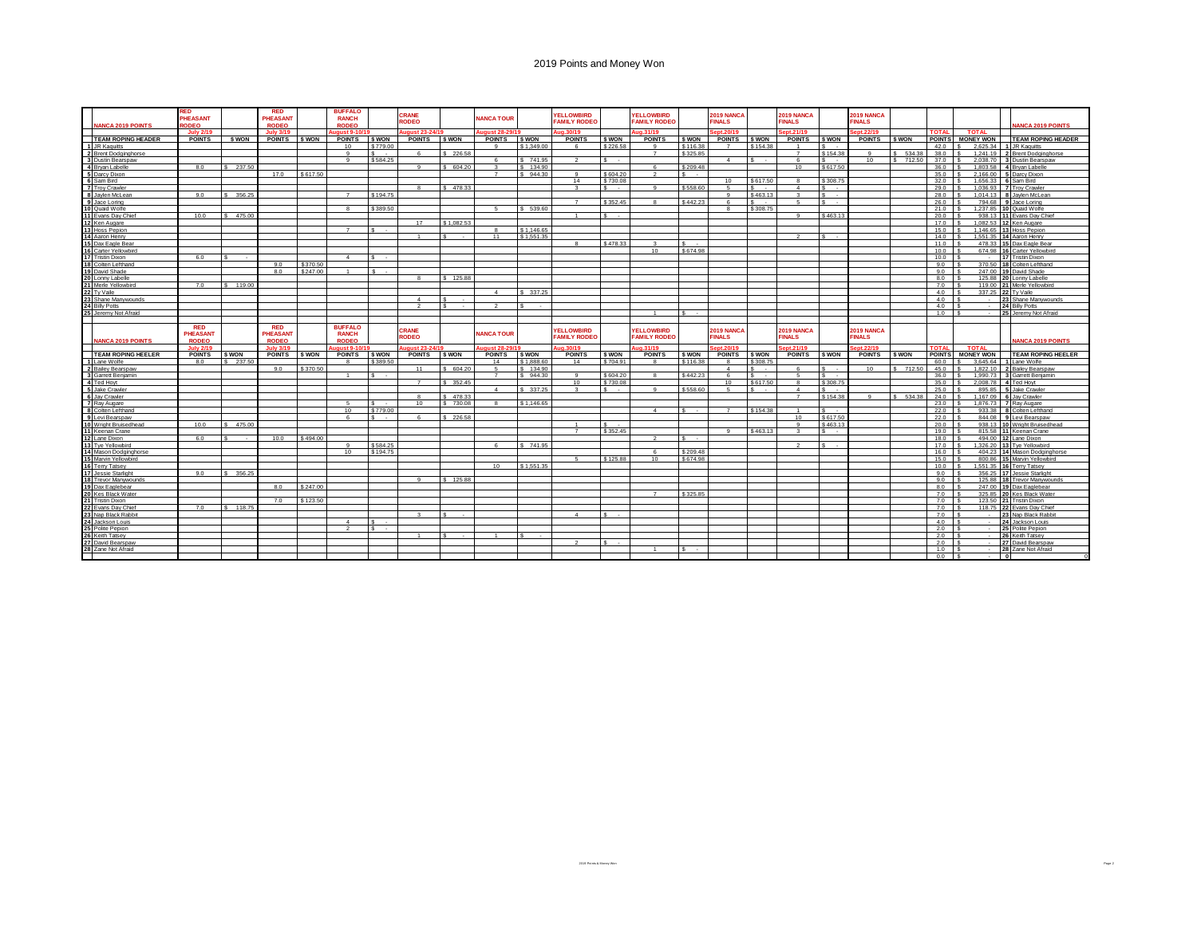| <b>ANCA 2019 POINTS</b>                                                                                                                                                                                                                                                                                                                                                                                                                                | RED<br><b>PHEASANT</b><br>ODEO:               |              | <b>RED</b><br>PHEASANT<br><b>RODEO</b> |              | <b>BUFFALO</b><br><b>RANCH</b><br><b>RODEO</b> |                    | CRANE<br>RODEO |              | <b>NANCA TOUR</b>       |            | <b>YELLOWBIRD</b><br><b>FAMILY RODEO</b> |                               | <b>FLLOWBIRD</b><br><b>FAMILY RODEC</b>  |                      | 2019 NANCA<br><b>FINALS</b>    |              | 2019 NANCA<br><b>FINALS</b>        |                                 | 2019 NANCA<br><b>FINALS</b>        |              |                |                      |   | <b>ANCA 2019 POINTS</b>                                |
|--------------------------------------------------------------------------------------------------------------------------------------------------------------------------------------------------------------------------------------------------------------------------------------------------------------------------------------------------------------------------------------------------------------------------------------------------------|-----------------------------------------------|--------------|----------------------------------------|--------------|------------------------------------------------|--------------------|----------------|--------------|-------------------------|------------|------------------------------------------|-------------------------------|------------------------------------------|----------------------|--------------------------------|--------------|------------------------------------|---------------------------------|------------------------------------|--------------|----------------|----------------------|---|--------------------------------------------------------|
|                                                                                                                                                                                                                                                                                                                                                                                                                                                        | <b>July 2/19</b>                              |              | <b>July 3/19</b>                       |              | uaust 9-10/                                    |                    | aust 23-24/1   |              | uaust 28-29             |            | ua.30/19                                 |                               | Aug.31/19                                |                      | ont 20/11                      |              | ept.21/19                          |                                 | ot.22/19                           |              | <b>TOTAL</b>   | <b>TOTAL</b>         |   |                                                        |
| <b>TEAM ROPING HEADER</b>                                                                                                                                                                                                                                                                                                                                                                                                                              | <b>POINTS</b>                                 | <b>S WON</b> | <b>POINTS</b>                          | <b>S WON</b> | <b>POINTS</b>                                  | \$ WON             | <b>POINTS</b>  | \$ WON       | <b>POINTS</b><br>$\sim$ | \$ WON     | <b>POINTS</b>                            | \$ WON                        | <b>POINTS</b><br>$\Omega$                | \$ WON               | <b>POINTS</b><br>$\rightarrow$ | \$ WON       | <b>POINTS</b><br>$^{\circ}$        | \$ WON                          | <b>POINTS</b>                      | \$ WON       | <b>POINTS</b>  | <b>MONEY WON</b>     |   | <b>TEAM ROPING HEADER</b>                              |
| 1 JR Kaquitts                                                                                                                                                                                                                                                                                                                                                                                                                                          |                                               |              |                                        |              | 10 <sup>10</sup>                               | \$779.00<br>÷      |                |              |                         | \$1,349.00 |                                          | \$226.58                      | $\overline{z}$                           | \$116,38<br>\$325.85 |                                | \$154.38     |                                    | $s -$<br>\$154.38               |                                    | \$5343       | 42.0<br>38.0   | $\sim$<br>2.625.34   |   | <b>JR Kaguitts</b>                                     |
| 2 Brent Dodginghorse<br>2 Brent Dodgingho<br>3 Dustin Bearspaw<br>4 Bryan Labelle<br>5 Dam Bird<br>6 Sam Bird<br>7 Troy Crawler<br>11 Jacket Loring<br>11 Brans Day Chief<br>11 Evans Day Chief<br>12 Ken Augare<br>13 Hoss Pepion<br>13 Hoss Pepion<br>13 Hoss Pepion<br>14 Aar                                                                                                                                                                       |                                               |              |                                        |              |                                                | \$584.25           | -6             | \$226.58     |                         | \$741.95   |                                          | $\mathbf{s}$                  |                                          |                      | $\mathbf{A}$                   | $\epsilon$   | $\overline{7}$<br>$\epsilon$       | l s                             | 10                                 | \$712.50     | 37.0           | 1.241.19<br>2.038.70 |   | Brent Dodginghorse<br>Dustin Bearspay                  |
|                                                                                                                                                                                                                                                                                                                                                                                                                                                        | 8.0                                           | \$ 237.50    |                                        |              |                                                |                    |                | \$604.20     |                         | \$ 134.90  |                                          |                               | -6                                       | \$209.48             |                                |              | 10                                 | \$617.50                        |                                    |              | 36.0           | 1,803.58             |   | <b>Bryan Labelle</b>                                   |
|                                                                                                                                                                                                                                                                                                                                                                                                                                                        |                                               |              | 17.0                                   | \$617.50     |                                                |                    |                |              | $\overline{ }$          | \$944.30   | $\Omega$                                 | \$604.20                      |                                          |                      |                                |              |                                    |                                 |                                    |              | 35.0           | 2.166.00             |   | Darcy Dixon                                            |
|                                                                                                                                                                                                                                                                                                                                                                                                                                                        |                                               |              |                                        |              |                                                |                    |                |              |                         |            | 14                                       | \$730.08                      |                                          |                      | 10 <sup>1</sup>                | \$617.50     | $\mathbf{R}$                       | \$308.75                        |                                    |              | 320            | 1.656.33             |   | 6 Sam Bird                                             |
|                                                                                                                                                                                                                                                                                                                                                                                                                                                        |                                               |              |                                        |              |                                                |                    |                | \$478.33     |                         |            |                                          | $\overline{\mathbf{S}}$ .     | $\Omega$                                 | \$558.60             |                                | $S -$        | $\overline{a}$                     | s<br>$\sim$                     |                                    |              | 29.0           | 1.036.93             |   | 7 Troy Crawler                                         |
|                                                                                                                                                                                                                                                                                                                                                                                                                                                        | 9.0                                           | \$ 356,25    |                                        |              |                                                | \$194.75           |                |              |                         |            |                                          |                               |                                          |                      |                                | \$463.13     | $\mathbf{R}$                       | s<br>$\overline{\phantom{a}}$   |                                    |              | 28.0           | 1.014.13             |   | 8 Javien McLear                                        |
|                                                                                                                                                                                                                                                                                                                                                                                                                                                        |                                               |              |                                        |              |                                                |                    |                |              |                         |            | $\overline{z}$                           | \$352.45                      |                                          | \$442.23             |                                | $\epsilon$   | 6                                  | l s                             |                                    |              | 26.0           | 794.68               |   | 9 Jace Loring                                          |
|                                                                                                                                                                                                                                                                                                                                                                                                                                                        |                                               |              |                                        |              |                                                | \$389.50           |                |              |                         | \$5396     |                                          |                               |                                          |                      |                                | \$308.75     |                                    |                                 |                                    |              | 21.0           | 1.237.85             |   | 10 Quaid Wolfe                                         |
|                                                                                                                                                                                                                                                                                                                                                                                                                                                        | 10.0                                          | \$ 475.00    |                                        |              |                                                |                    |                |              |                         |            |                                          | ¢<br>$\overline{\phantom{a}}$ |                                          |                      |                                |              | -9                                 | \$463.13                        |                                    |              | 20.0           | 938.13               |   | 11 Evans Day Chie                                      |
|                                                                                                                                                                                                                                                                                                                                                                                                                                                        |                                               |              |                                        |              |                                                |                    | 17             | \$1.082.53   |                         |            |                                          |                               |                                          |                      |                                |              |                                    |                                 |                                    |              | 17.0           |                      |   | 1,082.53 12 Ken Augare                                 |
|                                                                                                                                                                                                                                                                                                                                                                                                                                                        |                                               |              |                                        |              |                                                | $\epsilon$         |                |              |                         | \$1.146.65 |                                          |                               |                                          |                      |                                |              |                                    |                                 |                                    |              | 15.0           |                      |   | 1.146.65 13 Hoss Pepion                                |
|                                                                                                                                                                                                                                                                                                                                                                                                                                                        |                                               |              |                                        |              |                                                |                    |                |              | 11                      | \$1,551,35 |                                          |                               |                                          |                      |                                |              |                                    | $\epsilon$                      |                                    |              | 14.0           |                      |   | 1,551.35 14 Aaron Henry                                |
|                                                                                                                                                                                                                                                                                                                                                                                                                                                        |                                               |              |                                        |              |                                                |                    |                |              |                         |            |                                          | \$478.33                      |                                          |                      |                                |              |                                    |                                 |                                    |              | 11.0           | 478.33               |   | 15 Dax Eagle Bea                                       |
| 19 District Delay<br>16 Carter Yellowbird<br>17 Tristin Dixon<br>18 Colten Lefthand<br>19 David Shade<br>20 Lonny Labelle<br>21 Mere Yellowbird<br>21 Tuttoile                                                                                                                                                                                                                                                                                         |                                               |              |                                        |              |                                                |                    |                |              |                         |            |                                          |                               | 10                                       | \$674.98             |                                |              |                                    |                                 |                                    |              | 10.0           |                      |   | 674.98 16 Carter Yellowbird                            |
|                                                                                                                                                                                                                                                                                                                                                                                                                                                        | 6.0                                           |              |                                        |              | $\overline{A}$                                 | $\bullet$          |                |              |                         |            |                                          |                               |                                          |                      |                                |              |                                    |                                 |                                    |              | 10.0           | $\sim$               |   | 17 Tristin Dixon                                       |
|                                                                                                                                                                                                                                                                                                                                                                                                                                                        |                                               |              | 9.0                                    | \$370.50     |                                                |                    |                |              |                         |            |                                          |                               |                                          |                      |                                |              |                                    |                                 |                                    |              | 9.0            |                      |   | 370.50 18 Colten Lefthan                               |
|                                                                                                                                                                                                                                                                                                                                                                                                                                                        |                                               |              | 8.0                                    | \$247.00     |                                                | $\hat{\mathbf{z}}$ |                |              |                         |            |                                          |                               |                                          |                      |                                |              |                                    |                                 |                                    |              | 9.0            | 247.00 19            |   | David Shade                                            |
|                                                                                                                                                                                                                                                                                                                                                                                                                                                        |                                               |              |                                        |              |                                                |                    |                | \$125.88     |                         |            |                                          |                               |                                          |                      |                                |              |                                    |                                 |                                    |              | 8.0            | 125.88               |   | onny Lahelle                                           |
|                                                                                                                                                                                                                                                                                                                                                                                                                                                        | 7.0                                           | \$119.00     |                                        |              |                                                |                    |                |              |                         |            |                                          |                               |                                          |                      |                                |              |                                    |                                 |                                    |              | 7.0            | 119.00               |   | 21 Merle Yellowbird                                    |
| Tv Vaile                                                                                                                                                                                                                                                                                                                                                                                                                                               |                                               |              |                                        |              |                                                |                    |                |              | $\mathbf{A}$            | \$ 337.25  |                                          |                               |                                          |                      |                                |              |                                    |                                 |                                    |              | 4.0            | 337.25               |   | 2 Tv Vaile                                             |
| Shane Manywounds                                                                                                                                                                                                                                                                                                                                                                                                                                       |                                               |              |                                        |              |                                                |                    | $\overline{4}$ | $\sim$       |                         |            |                                          |                               |                                          |                      |                                |              |                                    |                                 |                                    |              | 4.0            | $\sim$               |   | Shane Manywounds                                       |
| <b>Billy Potts</b>                                                                                                                                                                                                                                                                                                                                                                                                                                     |                                               |              |                                        |              |                                                |                    |                |              |                         |            |                                          |                               |                                          |                      |                                |              |                                    |                                 |                                    |              | 40             |                      |   | <b>Billy Potts</b>                                     |
| Jeremy Not Afraid                                                                                                                                                                                                                                                                                                                                                                                                                                      |                                               |              |                                        |              |                                                |                    |                |              |                         |            |                                          |                               |                                          |                      |                                |              |                                    |                                 |                                    |              | 1.0            | $\sim$               |   | Jeremy Not Afraid                                      |
|                                                                                                                                                                                                                                                                                                                                                                                                                                                        |                                               |              |                                        |              |                                                |                    |                |              |                         |            |                                          |                               |                                          |                      |                                |              |                                    |                                 |                                    |              |                |                      |   |                                                        |
| <b>IANCA 2019 POINTS</b>                                                                                                                                                                                                                                                                                                                                                                                                                               | <b>RED</b><br><b>PHEASANT</b><br><b>RODEO</b> |              | <b>RED</b><br>PHEASANT<br><b>RODEO</b> |              | <b>BUFFALO</b><br><b>RANCH</b><br><b>RODEO</b> |                    | CRANE<br>RODEO |              | <b>NANCA TOUR</b>       |            | <b>YELLOWBIRD</b><br><b>FAMILY RODEO</b> |                               | <b>YELLOWBIRD</b><br><b>FAMILY RODEC</b> |                      | 2019 NANCA<br><b>INALS</b>     |              | <b>2019 NANCA</b><br><b>FINALS</b> |                                 | <b>2019 NANCA</b><br><b>FINALS</b> |              |                |                      |   | <b>JANCA 2019 POINTS</b>                               |
|                                                                                                                                                                                                                                                                                                                                                                                                                                                        | <b>July 2/19</b>                              |              | <b>July 3/19</b>                       |              | aust 9-10/                                     |                    | aust 23-24/19  |              | gust 28-29              |            | ua.30/19                                 |                               | ua.31/19                                 |                      | ept.20/19                      |              | pt.21/19                           |                                 | pt.22/19                           |              | <b>TOTAI</b>   | <b>TOTAL</b>         |   |                                                        |
| <b>TEAM ROPING HEELER</b>                                                                                                                                                                                                                                                                                                                                                                                                                              | <b>POINTS</b>                                 |              |                                        |              |                                                |                    |                |              |                         | \$ WON     |                                          |                               |                                          | S WON                | <b>POINTS</b>                  | <b>S WON</b> | <b>POINTS</b>                      |                                 |                                    |              |                |                      |   | <b>TEAM ROPING HEELER</b>                              |
|                                                                                                                                                                                                                                                                                                                                                                                                                                                        |                                               | <b>S WON</b> | POINTS SWON                            |              | POINTS SWON                                    |                    | <b>POINTS</b>  | <b>S WON</b> | <b>POINTS</b>           |            | <b>POINTS</b>                            | <b>S WON</b>                  | <b>POINTS</b>                            |                      |                                |              |                                    | I S WON                         | <b>POINTS</b>                      | <b>S WON</b> | <b>POINTS</b>  | <b>MONEY WON</b>     |   |                                                        |
|                                                                                                                                                                                                                                                                                                                                                                                                                                                        | 8.0                                           | \$ 237.50    |                                        |              |                                                | \$389.50           |                |              | 14                      | \$1,888,60 | 14                                       | \$704.91                      |                                          | \$116.38             |                                | \$308.75     |                                    |                                 |                                    |              | 60.0           | 3.645.64             |   | Lane Wolfe                                             |
| 1 Lane Wolfe<br>2 Bailey Bearspaw                                                                                                                                                                                                                                                                                                                                                                                                                      |                                               |              | 90                                     | \$370.50     |                                                |                    | 11             | 604.20       |                         | \$ 134.90  |                                          |                               |                                          |                      | $\mathbf{A}$                   | $\sim$       | $\kappa$                           | $\epsilon$                      | $10^{-1}$                          | \$712.5      | 45.0           | 1.822.10             |   | ailey Bearspa                                          |
| 3 Garrett Benjamin                                                                                                                                                                                                                                                                                                                                                                                                                                     |                                               |              |                                        |              |                                                |                    |                |              | $\overline{7}$          | \$944.30   |                                          | \$604.2                       |                                          | \$442.23             |                                | $\sim$       | Б.                                 | l's<br>$\overline{\phantom{a}}$ |                                    |              | 36.0           | 1.990.73             |   | Garrett Beniamin                                       |
| Si Garrett Be<br>4 Ted Hoyt                                                                                                                                                                                                                                                                                                                                                                                                                            |                                               |              |                                        |              |                                                |                    | $\overline{z}$ | \$ 352.45    |                         |            | 10                                       | \$730.08                      |                                          |                      | 10 <sup>10</sup>               | \$617.50     | 8                                  | \$308.75                        |                                    |              | 350            | 2.008.78             |   | 4 Ted Hovt                                             |
| 5 Jake Crawler                                                                                                                                                                                                                                                                                                                                                                                                                                         |                                               |              |                                        |              |                                                |                    |                |              |                         | \$ 337.25  |                                          | $s -$                         | $\Omega$                                 | \$558.60             |                                | $S -$        | $\boldsymbol{\Lambda}$             | l s<br>$\overline{\phantom{a}}$ |                                    |              | 25.0           | 895.85               |   | 5 Jake Crawle                                          |
| 6 Jay Crawler                                                                                                                                                                                                                                                                                                                                                                                                                                          |                                               |              |                                        |              |                                                |                    |                | \$478.33     |                         |            |                                          |                               |                                          |                      |                                |              | $\overline{7}$                     | \$154.38                        |                                    | \$534.3      | 24.0           | 1.167.09             |   | Jay Crawler                                            |
| 7 Ray Augare                                                                                                                                                                                                                                                                                                                                                                                                                                           |                                               |              |                                        |              |                                                |                    | 10             | 730.08       |                         | \$1.146.65 |                                          |                               | $\boldsymbol{A}$                         |                      |                                |              |                                    | e                               |                                    |              | 23.0           | 1.876.73             |   | 7 Ray Augare                                           |
|                                                                                                                                                                                                                                                                                                                                                                                                                                                        |                                               |              |                                        |              | 10                                             | \$779.00<br>÷      |                |              |                         |            |                                          |                               |                                          |                      |                                | \$154.38     | 10 <sup>1</sup>                    |                                 |                                    |              | 220            | 933.38               |   | Colten Lefthan                                         |
|                                                                                                                                                                                                                                                                                                                                                                                                                                                        | 10.0                                          | \$475.00     |                                        |              |                                                |                    |                | \$226.58     |                         |            |                                          | $\epsilon$                    |                                          |                      |                                |              | $\mathbf{Q}$                       | \$617.50<br>\$463.13            |                                    |              | 22.0<br>20.0   | 844.08               |   | 9 Levi Bearspaw                                        |
|                                                                                                                                                                                                                                                                                                                                                                                                                                                        |                                               |              |                                        |              |                                                |                    |                |              |                         |            | $\rightarrow$                            | \$352.45                      |                                          |                      | $\Omega$                       | \$463.13     | $\sim$                             | $\sim$                          |                                    |              | 19.0           |                      |   | 938.13 10 Wright Bruisedhead<br>815.58 11 Keenan Crane |
|                                                                                                                                                                                                                                                                                                                                                                                                                                                        | 6.0                                           |              | 10.0                                   | \$494.00     |                                                |                    |                |              |                         |            |                                          |                               |                                          |                      |                                |              |                                    |                                 |                                    |              | 18.0           |                      |   | 494.00 12 Lane Dixon                                   |
|                                                                                                                                                                                                                                                                                                                                                                                                                                                        |                                               |              |                                        |              |                                                | \$584.25           |                |              |                         | \$741.95   |                                          |                               |                                          |                      |                                |              | $\sim$                             | s.                              |                                    |              | 17.0           | 1,326.20             |   | 13 Tve Yellowbird                                      |
|                                                                                                                                                                                                                                                                                                                                                                                                                                                        |                                               |              |                                        |              | 10                                             | \$194.75           |                |              |                         |            |                                          |                               | -6                                       | \$209.48             |                                |              |                                    |                                 |                                    |              | 16.0           |                      |   | 404.23 14 Mason Dodginghors                            |
|                                                                                                                                                                                                                                                                                                                                                                                                                                                        |                                               |              |                                        |              |                                                |                    |                |              |                         |            |                                          | \$125.88                      | 10                                       | <b>S674 98</b>       |                                |              |                                    |                                 |                                    |              | 15.0           |                      |   | 800.86 15 Marvin Yellowbird                            |
|                                                                                                                                                                                                                                                                                                                                                                                                                                                        |                                               |              |                                        |              |                                                |                    |                |              | 10                      | \$1.551.35 |                                          |                               |                                          |                      |                                |              |                                    |                                 |                                    |              | 10.0           | 1.551.35             |   | 16 Terry Tatsey                                        |
|                                                                                                                                                                                                                                                                                                                                                                                                                                                        | 9.0                                           | \$ 356,25    |                                        |              |                                                |                    |                |              |                         |            |                                          |                               |                                          |                      |                                |              |                                    |                                 |                                    |              | 9.0            | 356.25               |   | 17 Jessie Starlight                                    |
|                                                                                                                                                                                                                                                                                                                                                                                                                                                        |                                               |              |                                        |              |                                                |                    | $\alpha$       | \$125.88     |                         |            |                                          |                               |                                          |                      |                                |              |                                    |                                 |                                    |              | 9.0            |                      |   | 125.88 18 Trevor Manywounds                            |
|                                                                                                                                                                                                                                                                                                                                                                                                                                                        |                                               |              | 8.0                                    | \$247.00     |                                                |                    |                |              |                         |            |                                          |                               |                                          |                      |                                |              |                                    |                                 |                                    |              | 8.0            |                      |   | 247.00 19 Dax Eaglebear                                |
|                                                                                                                                                                                                                                                                                                                                                                                                                                                        |                                               |              |                                        |              |                                                |                    |                |              |                         |            |                                          |                               |                                          | \$325.85             |                                |              |                                    |                                 |                                    |              | 7.0            | 325.85               |   | 20 Kes Black Water                                     |
|                                                                                                                                                                                                                                                                                                                                                                                                                                                        |                                               |              | 70                                     | \$123.50     |                                                |                    |                |              |                         |            |                                          |                               |                                          |                      |                                |              |                                    |                                 |                                    |              | 7.0            |                      |   | 123.50 21 Tristin Dixon                                |
| $\begin{tabular}{ c c } \hline \hline \textbf{S} & R \Delta uqae \\ \hline \textbf{S} & Cothen Lefhand \\ \hline \textbf{9} & Lw1Beansraw \\ \hline \textbf{10} & Wíom! B risedhead \\ \hline \textbf{11} & Keanan Cana \\ \hline \textbf{12} & Lane D \\ \hline \textbf{13} & T y & Vellubwird \\ \hline \textbf{14} & Masson Dodinahores \\ \hline \textbf{15} & Marvivellad \\ \hline \textbf{16} & T=19888~\text{Sianidy} \\ \hline \textbf{17} &$ | 7.0                                           | \$ 118.75    |                                        |              |                                                |                    |                |              |                         |            |                                          |                               |                                          |                      |                                |              |                                    |                                 |                                    |              | 7.0            | 118.75               |   | 2 Evans Day Chief                                      |
|                                                                                                                                                                                                                                                                                                                                                                                                                                                        |                                               |              |                                        |              |                                                |                    |                |              |                         |            | $\boldsymbol{\Lambda}$                   | $\epsilon$                    |                                          |                      |                                |              |                                    |                                 |                                    |              | 7.0            | $\sim$               |   | 23 Nap Black Rabbit                                    |
| 22 Evans Day Chief<br>23 Nap Black Rabbit<br>24 Jackson Louis                                                                                                                                                                                                                                                                                                                                                                                          |                                               |              |                                        |              | $\mathbf{A}$                                   | -S                 |                |              |                         |            |                                          |                               |                                          |                      |                                |              |                                    |                                 |                                    |              | 4.0            | $\sim$               |   | 24 Jackson Louis                                       |
|                                                                                                                                                                                                                                                                                                                                                                                                                                                        |                                               |              |                                        |              |                                                | l s                |                |              |                         |            |                                          |                               |                                          |                      |                                |              |                                    |                                 |                                    |              | $2.0$ \ \$     | $\sim$               |   | Polite Pepion                                          |
|                                                                                                                                                                                                                                                                                                                                                                                                                                                        |                                               |              |                                        |              |                                                |                    |                |              |                         |            |                                          |                               |                                          |                      |                                |              |                                    |                                 |                                    |              | 2.0            |                      |   | Keith Tatsey                                           |
| 25 Polite Pepion<br>26 Keith Tatsey<br>27 David Bearspaw                                                                                                                                                                                                                                                                                                                                                                                               |                                               |              |                                        |              |                                                |                    |                |              |                         |            |                                          |                               |                                          |                      |                                |              |                                    |                                 |                                    |              | 2.0            | $\sim$               |   | 27 David Bearspay                                      |
| 28 Zane Not Afraid                                                                                                                                                                                                                                                                                                                                                                                                                                     |                                               |              |                                        |              |                                                |                    |                |              |                         |            |                                          |                               |                                          |                      |                                |              |                                    |                                 |                                    |              | 1.0<br>$0.0$ S | $\sim$<br>$\sim$     | ٦ | 28 Zane Not Afraid                                     |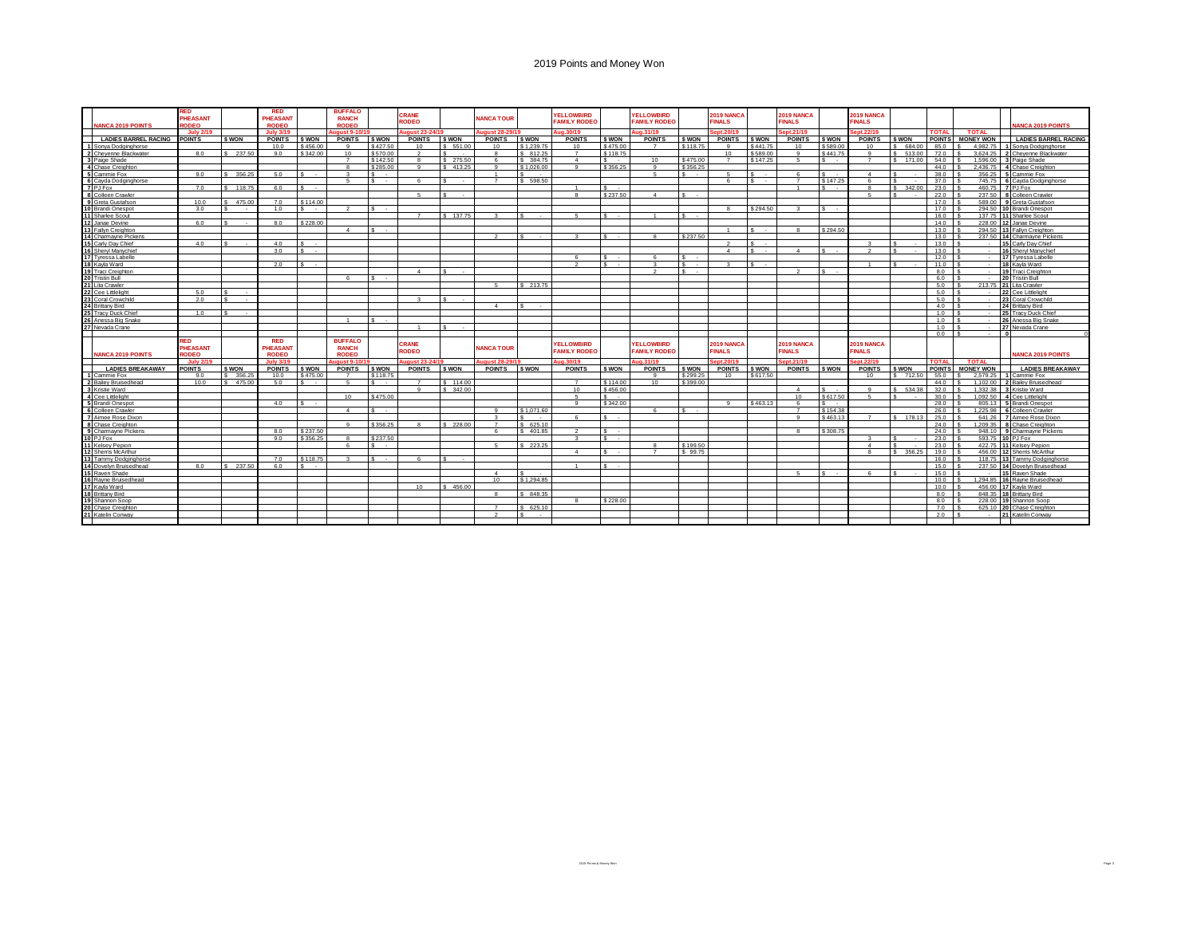|                 | <b>JANCA 2019 POINTS</b>              | RED<br>PHEASANT<br>RODEO              |          | <b>RED</b><br>PHEASANT<br><b>RODEO</b> |                     | <b>BUFFALO</b><br><b>RANCH</b><br>RODEO        |                       | CRANE<br><b>RODEO</b>      |              | <b>JANCA TOUR</b> |                  | <b>YELLOWBIRD</b><br><b>FAMILY RODEO</b> |                                        | <b>YELLOWBIRD</b><br><b>FAMILY RODEO</b> |              | 2019 NANCA<br><b>FINALS</b> |                  | 2019 NANCA<br><b>FINALS</b> |                                    | <b>2019 NANCA</b><br><b>FINALS</b> |                      |               |                      | <b>ANCA 2019 POINTS</b>                         |
|-----------------|---------------------------------------|---------------------------------------|----------|----------------------------------------|---------------------|------------------------------------------------|-----------------------|----------------------------|--------------|-------------------|------------------|------------------------------------------|----------------------------------------|------------------------------------------|--------------|-----------------------------|------------------|-----------------------------|------------------------------------|------------------------------------|----------------------|---------------|----------------------|-------------------------------------------------|
|                 |                                       | <b>July 2/19</b>                      |          | <b>July 3/19</b>                       |                     | $30st$ 9-10                                    |                       | aust 23-24/1               |              | aust 28-29        |                  | a.30/19                                  |                                        | a.31/19                                  |              | ont 20/19                   |                  | nt.21/19                    |                                    | pt.22/19                           |                      | <b>TOTAL</b>  | <b>TOTAL</b>         |                                                 |
|                 | <b>LADIES BARREL RACING</b>           | <b>POINTS</b>                         | \$ WON   | <b>POINTS</b>                          | \$ WON              | <b>POINTS</b>                                  | \$ WON                | <b>POINTS</b>              | \$ WON       | <b>POINTS</b>     | \$ WON           | <b>POINTS</b>                            | <b>S WON</b>                           | <b>POINTS</b>                            | \$ WON       | <b>POINTS</b>               | \$ WON           | <b>POINTS</b>               | <b>\$WON</b>                       | <b>POINTS</b>                      | <b>S WON</b>         | POINT!        | <b>MONEY WON</b>     | <b>LADIES BARREL RACING</b>                     |
|                 | Sonya Dodginghorse                    |                                       |          | 10.0                                   | \$456.00            |                                                | \$427.50              | 10                         | \$ 551.00    | 10 <sup>1</sup>   | \$1.239.75       | 10                                       | \$475.0                                |                                          | \$118.7      |                             | \$441.75         | 10                          | \$589.00                           | 10                                 | 684.0                | 85.0          | 4.982.75             | Sonya Dodginghorse                              |
|                 | 2 Chevenne Blackwater                 | 80                                    | \$237.50 | 90                                     | \$342.00            | 10 <sub>1</sub>                                | \$570.00              | $\overline{2}$             | $\sim$       |                   | \$ 812.25        | $\overline{7}$                           | \$118.75                               |                                          |              | 10 <sub>1</sub>             | \$589.00         | $\alpha$                    | S 441 75                           | $\alpha$                           | \$513.0              | 72.0          | 3.624.25             | 2 Chevenne Blackwater                           |
| $\mathbf{R}$    | Paige Shade                           |                                       |          |                                        |                     |                                                | \$142.50              | -8                         | \$ 275.50    |                   | \$ 384.75        | $\mathbf{A}$                             | $\sim$                                 | 10                                       | \$475.00     |                             | \$147.25         | 6                           | $S - 1$                            |                                    | \$ 171.00            | 54.0          | 1,596.00             | Paige Shade                                     |
|                 | Chase Creighton                       |                                       |          |                                        |                     |                                                | \$285.00              | $\mathbf{q}$               | \$413.25     |                   | \$1.026.00       | $\alpha$                                 | \$356.25                               | $\overline{9}$                           | \$356.25     |                             |                  |                             |                                    |                                    |                      | 44.0          | 2.436.75             | Chase Creighton                                 |
|                 | Cammie Fox                            | 9.0                                   | 356.25   | 5.0                                    | $\sim$              |                                                | $\sim$                |                            |              |                   |                  |                                          |                                        | $\sim$                                   |              |                             | $\sim$           |                             | $\epsilon$                         |                                    |                      | 38.0          | 356.25               | Cammie Fox                                      |
|                 | 6 Cavda Dodginghorse                  |                                       |          |                                        |                     | $\mathbf{g}$                                   | $\sim$                | $\epsilon$                 | $\sim$       | $\overline{z}$    | \$ 598.50        |                                          |                                        |                                          |              | $\mathbb{R}$                | $\sim$           | $\overline{7}$              | \$147.25                           | $\epsilon$                         |                      | 37.0          | 745.75               | 6 Cavda Dodginghorse                            |
|                 | 7 PJ Fox                              | 7.0                                   | 118,75   | 6.0                                    | $\sim$ 100 $\mu$    |                                                |                       |                            |              |                   |                  |                                          | $s -$                                  |                                          |              |                             |                  |                             | $\mathbf{s}$<br>$\sim$             |                                    | 342.00<br>$\epsilon$ | 23.0          | 460.75               | 7 PJ Fox                                        |
| $\mathbf{a}$    | Colleen Crawler                       |                                       |          |                                        |                     |                                                |                       | 5 <sup>1</sup>             | $\sim$       |                   |                  |                                          | \$237.50                               | $\sim$                                   | $\sim$       |                             |                  |                             |                                    | -6                                 |                      | 22.0          | 237.50               | Colleen Crawler                                 |
| $\alpha$        | Greta Gustafson                       | 10.0                                  | 475.00   | <b>70</b>                              | \$114.00            |                                                |                       |                            |              |                   |                  |                                          |                                        |                                          |              |                             |                  |                             |                                    |                                    |                      | 17.0          | 589.00               | Greta Gustafson                                 |
|                 | 10 Brandi Onespo                      | 3.0                                   | $\sim$   | 10                                     | $\sim$              |                                                | $\epsilon$<br>$\sim$  |                            |              |                   |                  |                                          |                                        |                                          |              | $\circ$                     | \$294.50         |                             | l s                                |                                    |                      | 170           | 294.50               | 10 Brandi Onespo                                |
|                 | Sharlee Scout                         |                                       |          |                                        |                     |                                                |                       | $\overline{7}$             | \$ 137.75    |                   | $\sim$           |                                          | $s - 1$                                |                                          | e.           |                             |                  |                             |                                    |                                    |                      | 16.0          | 137.75               | 11 Sharlee Scout                                |
|                 | Janae Devine                          | 6.0                                   | $\sim$   | 8.0                                    | \$228.00            |                                                |                       |                            |              |                   |                  |                                          |                                        |                                          |              |                             |                  |                             |                                    |                                    |                      | 14.0          | 228.00               | 12 Janae Devine                                 |
|                 | Fallyn Creighton                      |                                       |          |                                        |                     | $\overline{A}$                                 | $\sim$                |                            |              |                   |                  |                                          |                                        |                                          |              |                             | $\sim$           |                             | \$294.50                           |                                    |                      | 13.0          |                      | 294.50 13 Fallyn Creighton                      |
|                 | Charmayne Pickens                     |                                       |          |                                        |                     |                                                |                       |                            |              |                   |                  |                                          | $\epsilon$<br>$\sim$                   | $\circ$                                  | \$237.50     |                             |                  |                             |                                    |                                    |                      | 13.0          | 237.50               | 14 Charmavne Picken                             |
|                 | Carly Day Chief                       | 4.0                                   | $\sim$   | 4.0                                    | $\sim$              |                                                |                       |                            |              |                   |                  |                                          |                                        |                                          |              |                             | $\sim$<br>$\sim$ |                             |                                    |                                    |                      | 13.0          | $\sim$               | Carly Day Chief                                 |
|                 | 16 Shervl Manychiel                   |                                       |          | 30                                     | $\bullet$           |                                                |                       |                            |              |                   |                  |                                          |                                        |                                          |              |                             | l s              |                             | $\sim$                             | $\sim$                             |                      | 13.0          | $\sim$               | 16 Shervl Manychief                             |
|                 | 17 Tyressa Labelle                    |                                       |          |                                        |                     |                                                |                       |                            |              |                   |                  |                                          | $\epsilon$<br>$\overline{\phantom{a}}$ | $\epsilon$                               |              |                             |                  |                             |                                    |                                    |                      | $12.0$ \ S    | $\sim$               | 17 Tyressa Labelle                              |
|                 | 18 Kavla Ward                         |                                       |          | 2.0                                    | ÷<br>$\sim$         |                                                |                       |                            |              |                   |                  |                                          | $\sim$<br>$\sim$                       | $\overline{a}$                           | $\sim$       |                             | l s              |                             |                                    |                                    |                      | 11.0          | $\sim$               | 18 Kavla Ward                                   |
|                 | 19 Traci Creighton                    |                                       |          |                                        |                     |                                                |                       | $\sim$                     | $\sim$       |                   |                  |                                          |                                        |                                          | e.           |                             |                  | $\overline{2}$              | $\sim$<br>$\overline{\phantom{a}}$ |                                    |                      | 8.0           | $\bullet$<br>$\sim$  | 19 Traci Creighton                              |
|                 | 20 Tristin Bull                       |                                       |          |                                        |                     |                                                | $\bullet$             |                            |              |                   |                  |                                          |                                        |                                          |              |                             |                  |                             |                                    |                                    |                      | 6.0           | $\sim$               | Tristin Bull                                    |
|                 | Lita Crawler                          |                                       |          |                                        |                     |                                                |                       |                            |              | Б.                | \$ 213.75        |                                          |                                        |                                          |              |                             |                  |                             |                                    |                                    |                      | 5.0           | 213.75<br>ंद         | 21 Lita Crawler                                 |
| 22              | Cee Littlelight                       | 5.0                                   | $\sim$   |                                        |                     |                                                |                       |                            |              |                   |                  |                                          |                                        |                                          |              |                             |                  |                             |                                    |                                    |                      | 5.0           | $\sim$               | Cee Littlelight                                 |
|                 | Coral Crowchild                       | 2.0                                   | $\sim$   |                                        |                     |                                                |                       | $\mathbf{R}$               | $\sim$       |                   |                  |                                          |                                        |                                          |              |                             |                  |                             |                                    |                                    |                      | 5.0           | $\sim$               | Coral Crowchild                                 |
|                 | <b>Brittany Bird</b>                  |                                       |          |                                        |                     |                                                |                       |                            |              |                   |                  |                                          |                                        |                                          |              |                             |                  |                             |                                    |                                    |                      | 4.0           | $\sim$               | 4 Brittany Bird                                 |
|                 | <b>Tracy Duck Chief</b>               | 1.0                                   |          |                                        |                     |                                                |                       |                            |              |                   |                  |                                          |                                        |                                          |              |                             |                  |                             |                                    |                                    |                      | 1.0<br>1.0    | $\epsilon$<br>$\sim$ | 25 Tracy Duck Chief                             |
|                 | Anessa Big Snake                      |                                       |          |                                        |                     |                                                | $\epsilon$<br>$\sim$  |                            |              |                   |                  |                                          |                                        |                                          |              |                             |                  |                             |                                    |                                    |                      |               | $\sim$               |                                                 |
|                 |                                       |                                       |          |                                        |                     |                                                |                       |                            |              |                   |                  |                                          |                                        |                                          |              |                             |                  |                             |                                    |                                    |                      |               |                      | Anessa Big Snake                                |
|                 | 27 Nevada Crane                       |                                       |          |                                        |                     |                                                |                       |                            |              |                   |                  |                                          |                                        |                                          |              |                             |                  |                             |                                    |                                    |                      | 1.0           | $\bullet$            | 27 Nevada Crane                                 |
|                 |                                       |                                       |          |                                        |                     |                                                |                       |                            |              |                   |                  |                                          |                                        |                                          |              |                             |                  |                             |                                    |                                    |                      | 0.0           | $\sim$<br>$\sim$     |                                                 |
|                 | <b>IANCA 2019 POINTS</b>              | <b>RED</b><br><b>PHEASANT</b><br>ODEO |          | <b>RED</b><br>PHEASANT<br><b>RODEO</b> |                     | <b>BUFFALO</b><br><b>RANCH</b><br><b>RODEO</b> |                       | CRANE<br><b>RODEO</b>      |              | <b>ANCA TOUR</b>  |                  | <b>FLLOWBIRD</b><br><b>FAMILY RODEC</b>  |                                        | <b>YELLOWBIRD</b><br><b>FAMILY RODEC</b> |              | 2019 NANCA<br><b>FINALS</b> |                  | 2019 NANCA<br><b>FINALS</b> |                                    | <b>2019 NANCA</b><br><b>INALS</b>  |                      |               |                      | <b>IANCA 2019 POINTS</b>                        |
|                 |                                       | <b>July 2/19</b>                      |          | <b>July 3/19</b>                       |                     | $must 9-10$                                    |                       | qust 23-24/19              |              | igust 28-29       |                  | 0.30/19                                  |                                        | 10.31/19                                 |              | cont 20/19                  |                  | ent.21/19                   |                                    | nt.22/19                           |                      | <b>TOTAL</b>  | <b>TOTAL</b>         |                                                 |
|                 | <b>LADIES BREAKAWAY</b>               | <b>POINTS</b>                         | S WON    | <b>POINTS</b>                          | \$ WON              | <b>POINTS</b>                                  | \$ WON                | <b>POINTS</b>              | <b>S WON</b> | <b>POINTS</b>     | \$ WON           | <b>POINTS</b>                            | <b>S WON</b>                           | <b>POINTS</b>                            | <b>S WON</b> | <b>POINTS</b>               | <b>S WON</b>     | <b>POINTS</b>               | <b>S WON</b>                       | <b>POINTS</b>                      | <b>S WON</b>         | <b>POINTS</b> | <b>MONEY WON</b>     | <b>LADIES BREAKAWAY</b>                         |
|                 | ammie Fox                             | 9.0                                   | \$356.25 | 10.0                                   | \$475.00            | $\overline{7}$                                 | \$118.75<br>$\bullet$ |                            |              |                   |                  |                                          |                                        | $\alpha$                                 | \$299.25     | 10                          | \$617.50         |                             |                                    | 10                                 | \$712.50             | 55.0          | 2.579.25             | Cammie Fox                                      |
| $\overline{2}$  | Bailey Bruisedhead                    | 10.0                                  | 475.00   | 5.0                                    | $\sim$              |                                                |                       | $\overline{ }$<br>$\Omega$ | \$114.00     |                   |                  | $\overline{z}$                           | \$114.00                               | 10                                       | \$399.00     |                             |                  |                             |                                    | $\Omega$                           |                      | 44.0          | 1.102.00             | Bailey Bruisedhead                              |
|                 | Kristie Ward                          |                                       |          |                                        |                     |                                                |                       |                            | \$ 342.00    |                   |                  | 10                                       | \$456.00                               |                                          |              |                             |                  | $\mathbf{A}$                | $\sim$                             |                                    | 534.3                | 32.0          | 1.332.38             | Kristie Ward                                    |
|                 | Cee Littlelight                       |                                       |          |                                        | $\bullet$<br>$\sim$ | 10                                             | \$475.00              |                            |              |                   |                  | -5<br>$\alpha$                           | $s -$                                  |                                          |              | $\Omega$                    |                  | 10<br>$\epsilon$            | \$617.50                           | -5                                 |                      | 30.0          | 1.092.50             | Cee Littlelight                                 |
|                 | Brandi Onespo                         |                                       |          | 4.0                                    |                     |                                                |                       |                            |              |                   |                  |                                          | \$342.00                               |                                          |              |                             | \$463.13         | $\overline{z}$              | $S - 1$                            |                                    |                      | 28.0          | 805.13               | Brandi Onespo                                   |
|                 | Colleen Crawler                       |                                       |          |                                        |                     |                                                |                       |                            |              |                   | \$1.071.60       |                                          | $\sim$<br>$\overline{\phantom{a}}$     |                                          |              |                             |                  | $\Omega$                    | \$154.38                           | $\overline{z}$                     |                      | 26.0          | 1.225.98             | Colleen Crawler                                 |
|                 | Aimee Rose Dixon                      |                                       |          |                                        |                     | $\Omega$                                       |                       |                            |              | $\overline{7}$    |                  |                                          |                                        |                                          |              |                             |                  |                             | \$463.13                           |                                    | \$ 178.1             | 25.0          | 641.26               | 7 Aimee Rose Dixon                              |
| $\mathbf{a}$    | Chase Creighton                       |                                       |          | 80                                     | \$237.50            |                                                | \$356.25              | 8                          | \$ 228.00    |                   | 625.10<br>401.85 |                                          | $\epsilon$                             |                                          |              |                             |                  |                             | \$ 308.75                          |                                    |                      | 24.0          | 1.209.35             | 8 Chase Creighton                               |
|                 | 9 Charmavne Pickens                   |                                       |          |                                        |                     |                                                |                       |                            |              |                   |                  |                                          | $\epsilon$                             |                                          |              |                             |                  |                             |                                    |                                    |                      | 24.0          | 948.10               | 9 Charmavne Pickens                             |
|                 | 10 PJ Fox                             |                                       |          | 9.0                                    | \$356.25            |                                                | \$237.50              |                            |              |                   |                  |                                          |                                        | $\Omega$                                 |              |                             |                  |                             |                                    | $\boldsymbol{\Lambda}$             |                      | 23.0          | 593.75               | 10 PJ Fox                                       |
| 12 <sup>1</sup> | 11 Kelsey Pepion                      |                                       |          |                                        |                     |                                                | $\sim$                |                            |              |                   | 223.25           | $\mathbf{A}$                             |                                        | $\overline{z}$                           | \$199.50     |                             |                  |                             |                                    |                                    |                      | 23.0          |                      | 422.75 11 Kelsey Pepion                         |
|                 | Sherris McArthur                      |                                       |          | 70                                     | \$118.75            |                                                | $\bullet$             | $\sim$                     |              |                   |                  |                                          |                                        |                                          | \$99.75      |                             |                  |                             |                                    |                                    | \$ 356.25            | 19.0<br>16.0  | 118.75               | 456.00 12 Sherris McArthur                      |
|                 | 13 Tammy Dodginghorse                 | 8.0                                   | 237.50   | 6.0                                    | $\sim$              |                                                |                       |                            |              |                   |                  |                                          |                                        |                                          |              |                             |                  |                             |                                    |                                    |                      | 15.0          |                      | 13 Tammy Dodginghors                            |
|                 | 14 Dovelyn Bruisedhead<br>Raven Shade |                                       |          |                                        |                     |                                                |                       |                            |              | $\mathbf{A}$      |                  |                                          |                                        |                                          |              |                             |                  | $\sqrt{2}$                  | $\sim$                             |                                    |                      | 15.0          | $\sim$               | 237.50 14 Dovelyn Bruisedhead                   |
|                 | 16 Rayne Bruisedhead                  |                                       |          |                                        |                     |                                                |                       |                            |              | 10 <sup>1</sup>   | \$1,294.85       |                                          |                                        |                                          |              |                             |                  |                             |                                    |                                    |                      | 10.0          |                      | 15 Raven Shade<br>1.294.85 16 Rayne Bruisedhead |
|                 | 17 Kavla Ward                         |                                       |          |                                        |                     |                                                |                       | 10 <sup>10</sup>           | \$456.00     |                   |                  |                                          |                                        |                                          |              |                             |                  |                             |                                    |                                    |                      | 10.0          | 456.00               |                                                 |
| 18              | <b>Brittany Bird</b>                  |                                       |          |                                        |                     |                                                |                       |                            |              |                   | 848.35           |                                          |                                        |                                          |              |                             |                  |                             |                                    |                                    |                      | 8.0           | 848.35               | 17 Kayla Ward<br>18 Brittany Bird               |
|                 |                                       |                                       |          |                                        |                     |                                                |                       |                            |              |                   |                  |                                          | \$228.00                               |                                          |              |                             |                  |                             |                                    |                                    |                      | 8.0           | 228.00               | 19 Shannon Soor                                 |
|                 | Shannon Soop<br>20 Chase Creighton    |                                       |          |                                        |                     |                                                |                       |                            |              | $\rightarrow$     | 625.10           |                                          |                                        |                                          |              |                             |                  |                             |                                    |                                    |                      | 7.0           | 625.10               | Chase Creighton<br>יו                           |
|                 | Katelin Conway                        |                                       |          |                                        |                     |                                                |                       |                            |              |                   |                  |                                          |                                        |                                          |              |                             |                  |                             |                                    |                                    |                      | 20            | $\sim$               | 21 Katelin Conway                               |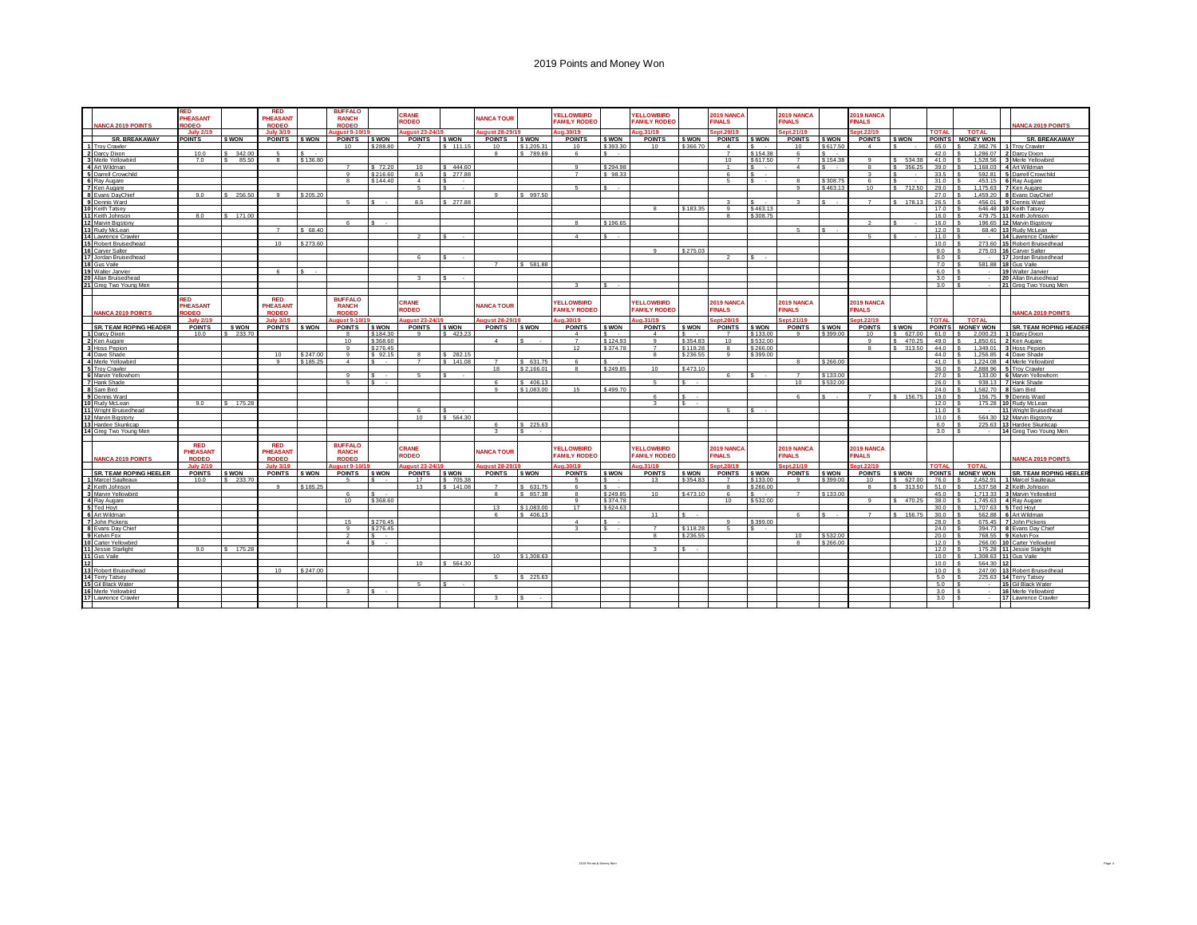| <b>JANCA 2019 POINTS</b>                   | RED<br><b>PHEASANT</b><br>RODEO              |           | <b>RED</b><br>PHEASANT<br><b>RODEO</b> |                            | <b>BUFFALO</b><br><b>RANCH</b><br><b>RODEO</b> |                    | CRANE<br>RODEO         |                    | <b>JANCA TOUR</b>                |                         | <b>YELLOWBIRD</b><br><b>FAMILY RODEO</b> |                   | <b>YELLOWBIRD</b><br><b>FAMILY RODEC</b> |                    | 2019 NANCA<br><b>FINALS</b>             |              | 2019 NANCA<br><b>FINALS</b> |                    | 2019 NANCA<br><b>FINALS</b>   |              |                       |                              |                          | <b>IANCA 2019 POINTS</b>                  |
|--------------------------------------------|----------------------------------------------|-----------|----------------------------------------|----------------------------|------------------------------------------------|--------------------|------------------------|--------------------|----------------------------------|-------------------------|------------------------------------------|-------------------|------------------------------------------|--------------------|-----------------------------------------|--------------|-----------------------------|--------------------|-------------------------------|--------------|-----------------------|------------------------------|--------------------------|-------------------------------------------|
|                                            | <b>July 2/1</b>                              |           | <b>July 3/19</b>                       |                            | met 9.4                                        |                    |                        |                    | uiet 28                          |                         | in 30/11                                 |                   | a 31/19                                  |                    |                                         |              | int 21/1                    |                    | nt 22/                        |              | <b>TOTAL</b>          | <b>TOTAL</b>                 |                          |                                           |
| <b>SR. BREAKAWAY</b><br>1 Troy Crawler     | <b>POINTS</b>                                | \$ WON    | <b>POINTS</b>                          | \$ WON                     | <b>POINTS</b><br>10 <sup>1</sup>               | \$ WON<br>\$288.80 | <b>POINTS</b>          | \$ WON<br>\$111.15 | <b>POINTS</b><br>10 <sup>1</sup> | \$ WON<br>\$1,205.3     | <b>POINTS</b><br>10                      | \$ WON<br>\$393.3 | <b>POINTS</b><br>10 <sup>1</sup>         | \$ WON<br>\$366.70 | <b>POINTS</b><br>$\boldsymbol{\Lambda}$ | \$ WON<br>e. | <b>POINTS</b><br>10         | \$ WON<br>\$617.50 | <b>POINTS</b><br>$\mathbf{A}$ | <b>S WON</b> | <b>POINTS</b><br>65.0 | <b>MONEY WON</b><br>2.982.76 | $\overline{1}$           | <b>SR. BREAKAWAY</b><br>Troy Crawler      |
| 2 Darcy Dixon                              | 10.0                                         | 342.00    | -6                                     | $\overline{\mathcal{S}}$ . |                                                |                    |                        |                    |                                  | \$789.69                | $\epsilon$                               | $\epsilon$ .      |                                          |                    | $\rightarrow$                           | \$154.38     | -6                          | $\epsilon$         |                               |              | 42.0                  | 1.286.07                     | $\overline{\phantom{a}}$ | Darcy Dixon                               |
| Merle Yellowbird                           | 7.0                                          | 85.50     |                                        | \$136.80                   |                                                |                    |                        |                    |                                  |                         |                                          |                   |                                          |                    | 10 <sup>1</sup>                         | \$617.50     | $\overline{7}$              | \$154.38           | $\alpha$                      | \$534.3      | 41.0                  | 1.528.56                     | $\overline{\mathbf{z}}$  | Merle Yellowbird                          |
| Art Wildman                                |                                              |           |                                        |                            |                                                | \$72.20            | 10                     | \$444.60           |                                  |                         | $\Omega$                                 | \$294.98          |                                          |                    |                                         |              | $\overline{4}$              | $\epsilon$         |                               | 356.2        | 39.0                  | 1.168.03                     | $\overline{a}$           | Art Wildman                               |
| 5 Darrell Crowchild                        |                                              |           |                                        |                            |                                                | \$216.60           | 8.5                    | 277.88             |                                  |                         |                                          | \$98.33           |                                          |                    |                                         |              |                             |                    |                               |              | 33.5                  | 592.81                       | E                        | Darrell Crowchild                         |
| 6 Ray Augare                               |                                              |           |                                        |                            |                                                | \$144.40           | $\boldsymbol{\Lambda}$ |                    |                                  |                         |                                          |                   |                                          |                    |                                         |              |                             | \$308.75           | $\epsilon$                    |              | 31.0                  | 453.15                       | $\overline{\mathbf{r}}$  | Ray Augare                                |
| 7 Ken Augare                               | 9.0                                          | \$ 256,50 | $\alpha$                               | \$205.20                   |                                                |                    | -5                     | $\sim$             |                                  | \$997.50                | 5                                        |                   |                                          |                    |                                         |              | $\alpha$                    | \$463.13           | 10                            | 712.50       | 29.0                  | 1.175.63<br>1.459.20         | -8                       | 7 Ken Augare                              |
| 8 Evans DayChie<br>9 Dennis Ward           |                                              |           |                                        |                            |                                                |                    | 8.5                    | \$ 277.88          |                                  |                         |                                          |                   |                                          |                    |                                         |              | $\sim$                      | $\bullet$          | $\overline{ }$                | 178.13       | 27.0<br>26.5          | 456.01                       |                          | Evans DayChie<br>9 Dennis Ward            |
| 10 Keith Tatsev                            |                                              |           |                                        |                            |                                                |                    |                        |                    |                                  |                         |                                          |                   |                                          | \$183.35           |                                         | \$463.13     |                             |                    |                               |              | 17.0                  | 646.48                       |                          | 10 Keith Tatsey                           |
| Keith Johnson                              | 8.0                                          | 171.00    |                                        |                            |                                                |                    |                        |                    |                                  |                         |                                          |                   |                                          |                    |                                         | \$308.75     |                             |                    |                               |              | 16.0                  | 479.75                       |                          | 11 Keith Johnson                          |
| Marvin Bigstony                            |                                              |           |                                        |                            |                                                |                    |                        |                    |                                  |                         |                                          | \$196.65          |                                          |                    |                                         |              |                             |                    |                               |              | 16.0                  | 196.65                       |                          | 12 Marvin Bigston                         |
| Rudy McLean                                |                                              |           | $\overline{z}$                         | $R$ $RR$ $AT$              |                                                |                    |                        |                    |                                  |                         |                                          |                   |                                          |                    |                                         |              | $\mathbf{r}$                | $\epsilon$         |                               |              | 12.0                  | 68.40                        |                          | 13 Rudy McLean                            |
| Lawrence Crawler                           |                                              |           |                                        |                            |                                                |                    |                        |                    |                                  |                         | $\overline{A}$                           | $\epsilon$        |                                          |                    |                                         |              |                             |                    | $\epsilon$                    |              | 11.0                  | $\sim$                       |                          | 14 Lawrence Crawler                       |
| 5 Robert Bruisedhead                       |                                              |           | 10                                     | \$273.60                   |                                                |                    |                        |                    |                                  |                         |                                          |                   | $\sim$                                   |                    |                                         |              |                             |                    |                               |              | 10.0                  | 273.60                       |                          | 15 Robert Bruisedhead                     |
| 16 Carver Salter<br>17                     |                                              |           |                                        |                            |                                                |                    | $\kappa$               |                    |                                  |                         |                                          |                   |                                          | \$275.03           |                                         |              |                             |                    |                               |              | 9.0<br>8.0            | 275.03<br>$\sim$             |                          | 16 Carver Salter                          |
| Jordan Bruisedhead<br>18 Gus Vaile         |                                              |           |                                        |                            |                                                |                    |                        |                    |                                  | 5 581.8                 |                                          |                   |                                          |                    |                                         |              |                             |                    |                               |              | 7.0                   | 581.88                       |                          | 17 Jordan Bruisedhead<br>18 Gus Vaile     |
| Walter Janvier                             |                                              |           | -6                                     |                            |                                                |                    |                        |                    |                                  |                         |                                          |                   |                                          |                    |                                         |              |                             |                    |                               |              | 6.0                   | $\sim$                       |                          | Walter Janvier                            |
| 10 Allan Bruisedhead                       |                                              |           |                                        |                            |                                                |                    | $\mathbf{R}$           |                    |                                  |                         |                                          |                   |                                          |                    |                                         |              |                             |                    |                               |              | 3.0                   |                              |                          | 20 Allan Bruisedhead                      |
| 21 Greg Two Young Men                      |                                              |           |                                        |                            |                                                |                    |                        |                    |                                  |                         |                                          |                   |                                          |                    |                                         |              |                             |                    |                               |              | 3.0                   |                              |                          | 21 Greg Two Young Men                     |
|                                            |                                              |           |                                        |                            |                                                |                    |                        |                    |                                  |                         |                                          |                   |                                          |                    |                                         |              |                             |                    |                               |              |                       |                              |                          |                                           |
| <b>IANCA 2019 POINTS</b>                   | <b>RED</b><br><b>PHEASANT</b><br><b>ODEO</b> |           | <b>RED</b><br>PHEASANT<br><b>RODEO</b> |                            | <b>BUFFALO</b><br><b>RANCH</b><br><b>RODEO</b> |                    | CRANE<br>RODEO         |                    | <b>JANCA TOUR</b>                |                         | <b>YELLOWBIRD</b><br><b>FAMILY RODEO</b> |                   | <b>YELLOWBIRD</b><br><b>FAMILY RODEC</b> |                    | 2019 NANCA<br><b>INALS</b>              |              | 2019 NANCA<br><b>FINALS</b> |                    | 2019 NANCA<br><b>INALS</b>    |              |                       |                              |                          | <b>NANCA 2019 POINTS</b>                  |
|                                            | <b>July 2/19</b>                             |           | <b>July 3/19</b>                       |                            | aust 9-10/                                     |                    | qust 23-24/19          |                    | aust 28-2                        |                         | <b>0 30/19</b>                           |                   | 1.31/19                                  |                    | nt.20/19                                |              | nt.21/19                    |                    | pt.22/19                      |              | <b>TOTAL</b>          | <b>TOTAL</b>                 |                          |                                           |
| <b>SR. TEAM ROPING HEADER</b>              | <b>POINTS</b>                                | \$ WON    | <b>POINTS</b>                          | <b>SWON</b>                | <b>POINTS</b>                                  | \$ WON             | <b>POINTS</b>          | \$ WON             | <b>POINTS</b>                    | <b>S WON</b>            | <b>POINTS</b>                            | <b>S WON</b>      | <b>POINTS</b>                            | S WON              | <b>POINTS</b>                           | <b>S WON</b> | <b>POINTS</b>               | <b>S WON</b>       | <b>POINTS</b>                 | <b>S WON</b> | <b>POINTS</b>         | <b>MONEY WON</b>             |                          | <b>SR. TEAM ROPING HEADER</b>             |
| <b>I</b> Darcy Dixon                       | 10.0                                         | 233.70    |                                        |                            |                                                | \$184.30           |                        | 423.23             |                                  |                         |                                          |                   |                                          |                    |                                         | \$133.00     | $\alpha$                    | \$399.00           | 10                            | \$627.00     | 61.0                  | 2.000.23<br>$\epsilon$       |                          | 1 Darcy Dixon                             |
| 2 Ken Augare                               |                                              |           |                                        |                            | 10                                             | \$368.60           |                        |                    | $\boldsymbol{\Lambda}$           |                         | $\overline{z}$                           | \$124.93          |                                          | \$354.83           | 10                                      | \$532.00     |                             |                    | $\alpha$                      | 470.25       | 49.0                  | 1.850.61                     | $\overline{\phantom{a}}$ | Ken Augare                                |
| 3 Hoss Pepion                              |                                              |           |                                        |                            |                                                | \$276.45           |                        |                    |                                  |                         | 12                                       | \$37478           | $\overline{7}$                           | \$118.28           | 8                                       | \$266.00     |                             |                    | $\mathbf{R}$                  | 313.50       | 44.0                  | 1,349.01                     |                          | <b>Hoss Pepion</b>                        |
| 4 Dave Shade                               |                                              |           | 10                                     | \$247.00<br>\$185.2        |                                                | \$92.15<br>÷       |                        | \$282.15           |                                  |                         |                                          |                   | -8                                       | \$236.55           | $\Omega$                                | \$399.00     |                             |                    |                               |              | 44.0                  | 1.256.85                     | $\overline{a}$           | Dave Shade                                |
| 4 Merle Yellowbird<br><b>Troy Crawler</b>  |                                              |           | $\mathbf{q}$                           |                            | $\overline{a}$                                 |                    | $\overline{7}$         | \$141.08           | 18                               | \$ 631.75<br>\$2.166.01 | $\mathbf{R}$                             | \$249.85          | 10                                       | \$473.10           |                                         |              | -8                          | \$266.00           |                               |              | 41.0<br>36.0          | 1.224.08<br>2.888.96         | $\boldsymbol{4}$<br>5    | Merle Yellowbir<br><b>Troy Crawler</b>    |
| <b>6</b> Marvin Yellowhorn                 |                                              |           |                                        |                            |                                                |                    | 5 <sup>2</sup>         |                    |                                  |                         |                                          |                   |                                          |                    | $\epsilon$                              |              | $\overline{7}$              | \$133.00           |                               |              | 27.0                  | 133.00                       |                          | 6 Marvin Yellowhorn                       |
| 7 Hank Shade                               |                                              |           |                                        |                            |                                                |                    |                        |                    |                                  | \$406.1                 |                                          |                   |                                          |                    |                                         |              | 10 <sub>1</sub>             | \$532.00           |                               |              | 26.0                  | 938.13                       |                          | 7 Hank Shade                              |
| Sam Bird                                   |                                              |           |                                        |                            |                                                |                    |                        |                    |                                  | \$1.083f                | 15                                       | \$499.70          |                                          |                    |                                         |              |                             |                    |                               |              | 24.0                  | 1.582.70                     |                          | Sam Bird                                  |
| Dennis Ward                                |                                              |           |                                        |                            |                                                |                    |                        |                    |                                  |                         |                                          |                   |                                          |                    |                                         |              | $\epsilon$                  | $\epsilon$         | $\overline{z}$                | \$ 156.7     | 19.0                  | 156.75                       |                          | Dennis Ward                               |
| Rudy McLean                                | 9.0                                          | \$ 175.28 |                                        |                            |                                                |                    |                        |                    |                                  |                         |                                          |                   |                                          | $\sim$             |                                         |              |                             |                    |                               |              | 12.0                  | 175.28                       |                          | 10 Rudy McLean                            |
| 1 Wright Bruisedhead                       |                                              |           |                                        |                            |                                                |                    |                        |                    |                                  |                         |                                          |                   |                                          |                    |                                         |              |                             |                    |                               |              | 11.0                  |                              |                          | 11 Wright Bruisedhead                     |
| 12 Marvin Bigstony                         |                                              |           |                                        |                            |                                                |                    | 10                     | 564.30             |                                  | \$225.63                |                                          |                   |                                          |                    |                                         |              |                             |                    |                               |              | 10.0<br>6.0           | 564.30<br>225.63             |                          | 12 Marvin Bigstony<br>13 Hardee Skunkcap  |
| 13 Hardee Skunkcap<br>4 Grea Two Young Men |                                              |           |                                        |                            |                                                |                    |                        |                    |                                  |                         |                                          |                   |                                          |                    |                                         |              |                             |                    |                               |              | 3.0                   |                              |                          | 14 Grea Two Young Men                     |
|                                            |                                              |           |                                        |                            |                                                |                    |                        |                    |                                  |                         |                                          |                   |                                          |                    |                                         |              |                             |                    |                               |              |                       |                              |                          |                                           |
| <b>VANCA 2019 POINTS</b>                   | <b>RED</b><br>PHEASANT<br><b>RODEO</b>       |           | <b>RED</b><br>PHEASANT<br><b>RODEO</b> |                            | <b>BUFFALO</b><br><b>RANCH</b><br><b>RODEO</b> |                    | <b>CRANE</b><br>RODEO  |                    | <b>JANCA TOUR</b>                |                         | <b>ELLOWBIRD</b><br><b>FAMILY RODEO</b>  |                   | <b>YELLOWBIRD</b><br><b>FAMILY RODEC</b> |                    | <b>2019 NANCA</b><br><b>FINALS</b>      |              | 2019 NANCA<br><b>FINALS</b> |                    | 2019 NANCA<br><b>FINALS</b>   |              |                       |                              |                          | <b>IANCA 2019 POINTS</b>                  |
|                                            | <b>July 2/19</b>                             |           | <b>July 3/19</b>                       |                            | miet 9.1                                       |                    | ust 23-2               |                    | igust 28-2                       |                         | 0.30/19                                  |                   | 131/10                                   |                    | nt 20/1                                 |              | nt 21/1                     |                    | nt.22/19                      |              | <b>TOTAL</b>          | <b>TOTAL</b>                 |                          |                                           |
| <b>SR. TEAM ROPING HEELER</b>              | <b>POINTS</b>                                | \$ WON    | <b>POINTS</b>                          | <b>SWON</b>                | <b>POINTS</b>                                  | <b>S WON</b>       | <b>POINTS</b>          | \$ WON             | <b>POINTS</b>                    | \$ WON                  | POINTS                                   | \$ WON            | <b>POINTS</b>                            | \$ WON             | <b>POINTS</b>                           | \$ WON       | <b>POINTS</b>               | \$ WON             | <b>POINTS</b>                 | <b>S WON</b> | <b>POINTS</b>         | <b>MONEY WON</b>             |                          | <b>SR. TEAM ROPING HEELER</b>             |
| Marcel Saulteaux                           | 10.0                                         | \$ 233.70 |                                        |                            |                                                |                    | 17                     | \$ 705.38          |                                  |                         |                                          | $\sim$            | 13                                       | \$354.83           |                                         | \$133.00     | $\alpha$                    | \$399.0            | 10                            | \$627.0      | 76.0                  | 2.452.91                     |                          | Marcel Saulteaux                          |
| Keith Johnson                              |                                              |           | $\Omega$                               | \$185.25                   |                                                |                    | 13                     | \$141.08           |                                  | \$631.7                 |                                          | $\epsilon$ .      |                                          |                    |                                         | \$266.00     |                             |                    |                               | \$313.5      | 51.0                  | 1.537.58                     | ۰,                       | <b>Keith Johnson</b>                      |
| Marvin Yellowbird                          |                                              |           |                                        |                            |                                                | $\epsilon$         |                        |                    |                                  | \$857.3                 |                                          | \$249.85          | 10                                       | \$473.10           |                                         |              | $\rightarrow$               | \$133.00           |                               |              | 45.0                  | 1.713.33                     | $\overline{\phantom{a}}$ | Marvin Yellowbird                         |
| 4 Ray Augare                               |                                              |           |                                        |                            | 10                                             | \$368,60           |                        |                    |                                  |                         | $\Omega$                                 | \$374.78          |                                          |                    | 10                                      | \$532.00     |                             |                    | $\alpha$                      | \$470.2      | 38.0                  | 1.745.63                     |                          | Ray Augare                                |
| 5 Ted Hovt                                 |                                              |           |                                        |                            |                                                |                    |                        |                    | 12                               | \$1,083.00              | 17                                       | \$624.63          |                                          |                    |                                         |              |                             |                    |                               |              | 30.0                  | 1 707 63                     |                          | <b>Fed Hovt</b>                           |
| Art Wildmar<br>John Pickens                |                                              |           |                                        |                            | 15                                             | \$276.45           |                        |                    |                                  | 406.13                  | $\sim$                                   |                   | 11                                       |                    |                                         | \$399.00     |                             |                    |                               | 156.7        | 30.0<br>28.0          | 562.88<br>675.45             | $\overline{7}$           | Art Wildmar<br>John Pickens               |
| 8 Evans Day Chief                          |                                              |           |                                        |                            |                                                | \$276.45           |                        |                    |                                  |                         |                                          |                   | $\overline{7}$                           | \$118.28           | Б.                                      |              |                             |                    |                               |              | 24.0                  | 394.73                       | $\mathbf{R}$             | Evans Day Chie                            |
| 9 Kelvin Fox                               |                                              |           |                                        |                            |                                                | ÷                  |                        |                    |                                  |                         |                                          |                   |                                          | \$236.55           |                                         |              | 10 <sub>1</sub>             | \$532.00           |                               |              | 20.0                  | 768.55                       | $\mathbf{q}$             | Kelvin Fox                                |
| <b>0</b> Carter Yellowbird                 |                                              |           |                                        |                            |                                                | ÷                  |                        |                    |                                  |                         |                                          |                   |                                          |                    |                                         |              |                             | \$266.00           |                               |              | 12.0                  | 266.00                       |                          | 10 Carter Yellowbird                      |
| Jessie Starlight                           | 9.0                                          | \$ 175.28 |                                        |                            |                                                |                    |                        |                    |                                  |                         |                                          |                   |                                          |                    |                                         |              |                             |                    |                               |              | 12.0                  | 175.28                       |                          | 11 Jessie Starlight                       |
| Gus Vaile                                  |                                              |           |                                        |                            |                                                |                    |                        |                    | 10 <sub>1</sub>                  | \$1,308.63              |                                          |                   |                                          |                    |                                         |              |                             |                    |                               |              | 10.0                  | 1.308.63                     |                          | 11 Gus Vaile                              |
|                                            |                                              |           |                                        |                            |                                                |                    | 10                     | \$564.30           |                                  |                         |                                          |                   |                                          |                    |                                         |              |                             |                    |                               |              | 10.0                  | 564.30                       |                          |                                           |
| 13 Robert Bruisedhead                      |                                              |           | 10                                     | \$247.00                   |                                                |                    |                        |                    |                                  |                         |                                          |                   |                                          |                    |                                         |              |                             |                    |                               |              | 10.0                  | 247.00                       |                          | 13 Robert Bruisedhead                     |
| 14 Terry Tatsey                            |                                              |           |                                        |                            |                                                |                    | $\epsilon$             |                    | $\sim$                           | \$7256                  |                                          |                   |                                          |                    |                                         |              |                             |                    |                               |              | 5.0                   | 225.63<br>$\epsilon$         |                          | 14 Terry Tatsey                           |
| 15 Gil Black Water<br>16 Merle Yellowbird  |                                              |           |                                        |                            |                                                |                    |                        |                    |                                  |                         |                                          |                   |                                          |                    |                                         |              |                             |                    |                               |              | 5.0<br>3.0            |                              |                          | 15 Gil Black Water<br>16 Merle Yellowbird |
| 17 Lawrence Crawle                         |                                              |           |                                        |                            |                                                |                    |                        |                    |                                  |                         |                                          |                   |                                          |                    |                                         |              |                             |                    |                               |              | 3.0                   |                              |                          | 17 Lawrence Crawle                        |
|                                            |                                              |           |                                        |                            |                                                |                    |                        |                    |                                  |                         |                                          |                   |                                          |                    |                                         |              |                             |                    |                               |              |                       |                              |                          |                                           |